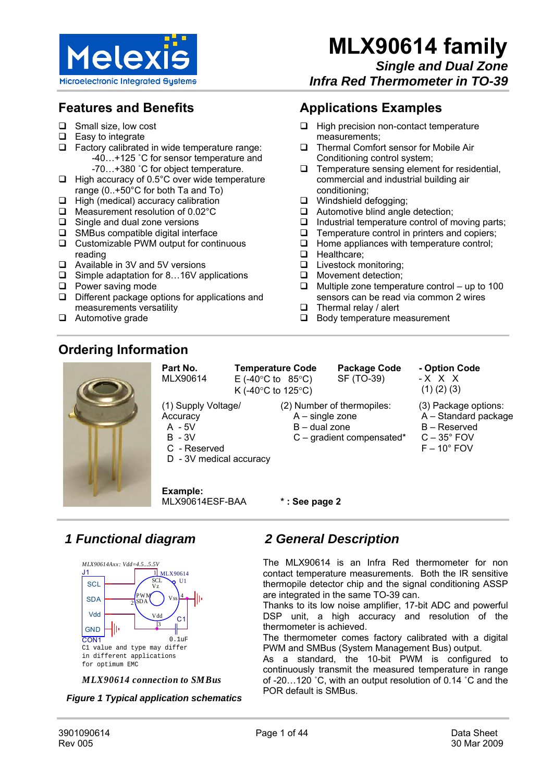

**Applications Examples**

measurements;

conditioning; Windshield defogging;

**D** Healthcare:

**Livestock monitoring; O** Movement detection:

 $\Box$  Thermal relay / alert

 $\Box$  High precision non-contact temperature

□ Thermal Comfort sensor for Mobile Air Conditioning control system;

Automotive blind angle detection;

 $\Box$  Temperature sensing element for residential, commercial and industrial building air

 $\Box$  Industrial temperature control of moving parts;  $\Box$  Temperature control in printers and copiers;  $\Box$  Home appliances with temperature control;

 $\Box$  Multiple zone temperature control – up to 100 sensors can be read via common 2 wires

## **Features and Benefits**

- $\Box$  Small size, low cost
- $\Box$  Easy to integrate
- $\Box$  Factory calibrated in wide temperature range: -40…+125 ˚C for sensor temperature and
	- -70…+380 ˚C for object temperature.
- $\Box$  High accuracy of 0.5°C over wide temperature range (0..+50°C for both Ta and To)
- $\Box$  High (medical) accuracy calibration
- □ Measurement resolution of 0.02°C
- $\Box$  Single and dual zone versions
- $\Box$  SMBus compatible digital interface
- □ Customizable PWM output for continuous reading
- Available in 3V and 5V versions
- $\Box$  Simple adaptation for 8...16V applications
- $\Box$  Power saving mode
- □ Different package options for applications and measurements versatility
- □ Automotive grade

## **Ordering Information**

MLX90614 **Temperature Code**  E (-40 $\degree$ C to 85 $\degree$ C) K (-40°C to 125°C)

**Package Code**  SF (TO-39)

- **Option Code**   $- X X X$  (1) (2) (3)
	-

 B – Reserved  $C - 35^\circ$  FOV  $F - 10^{\circ}$  FOV

(3) Package options: A – Standard package

- (1) Supply Voltage/
- **Accuracy**

**Part No.**

- A 5V
- B 3V
- C Reserved
- D 3V medical accuracy

**Example:**  MLX90614ESF-BAA

**\* : See page 2** 

## *1 Functional diagram*



*MLX90614 connection to SMBus*

*Figure 1 Typical application schematics*

## *2 General Description*

The MLX90614 is an Infra Red thermometer for non contact temperature measurements. Both the IR sensitive thermopile detector chip and the signal conditioning ASSP are integrated in the same TO-39 can.

Thanks to its low noise amplifier, 17-bit ADC and powerful DSP unit, a high accuracy and resolution of the thermometer is achieved.

The thermometer comes factory calibrated with a digital PWM and SMBus (System Management Bus) output.

As a standard, the 10-bit PWM is configured to continuously transmit the measured temperature in range of -20…120 ˚C, with an output resolution of 0.14 ˚C and the POR default is SMBus.

 $\Box$  Body temperature measurement

(2) Number of thermopiles:

 A – single zone B – dual zone

C – gradient compensated\*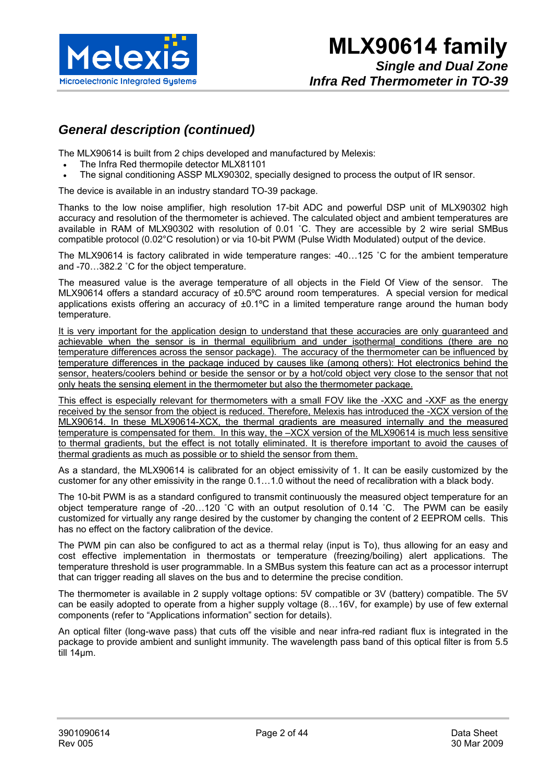

## *General description (continued)*

The MLX90614 is built from 2 chips developed and manufactured by Melexis:

- The Infra Red thermopile detector MLX81101
- The signal conditioning ASSP MLX90302, specially designed to process the output of IR sensor.

The device is available in an industry standard TO-39 package.

Thanks to the low noise amplifier, high resolution 17-bit ADC and powerful DSP unit of MLX90302 high accuracy and resolution of the thermometer is achieved. The calculated object and ambient temperatures are available in RAM of MLX90302 with resolution of 0.01 ˚C. They are accessible by 2 wire serial SMBus compatible protocol (0.02°C resolution) or via 10-bit PWM (Pulse Width Modulated) output of the device.

The MLX90614 is factory calibrated in wide temperature ranges: -40…125 ˚C for the ambient temperature and -70…382.2 ˚C for the object temperature.

The measured value is the average temperature of all objects in the Field Of View of the sensor. The MLX90614 offers a standard accuracy of ±0.5ºC around room temperatures. A special version for medical applications exists offering an accuracy of ±0.1°C in a limited temperature range around the human body temperature.

It is very important for the application design to understand that these accuracies are only guaranteed and achievable when the sensor is in thermal equilibrium and under isothermal conditions (there are no temperature differences across the sensor package). The accuracy of the thermometer can be influenced by temperature differences in the package induced by causes like (among others): Hot electronics behind the sensor, heaters/coolers behind or beside the sensor or by a hot/cold object very close to the sensor that not only heats the sensing element in the thermometer but also the thermometer package.

This effect is especially relevant for thermometers with a small FOV like the -XXC and -XXF as the energy received by the sensor from the object is reduced. Therefore, Melexis has introduced the -XCX version of the MLX90614. In these MLX90614-XCX, the thermal gradients are measured internally and the measured temperature is compensated for them. In this way, the –XCX version of the MLX90614 is much less sensitive to thermal gradients, but the effect is not totally eliminated. It is therefore important to avoid the causes of thermal gradients as much as possible or to shield the sensor from them.

As a standard, the MLX90614 is calibrated for an object emissivity of 1. It can be easily customized by the customer for any other emissivity in the range 0.1…1.0 without the need of recalibration with a black body.

The 10-bit PWM is as a standard configured to transmit continuously the measured object temperature for an object temperature range of -20…120 ˚C with an output resolution of 0.14 ˚C. The PWM can be easily customized for virtually any range desired by the customer by changing the content of 2 EEPROM cells. This has no effect on the factory calibration of the device.

The PWM pin can also be configured to act as a thermal relay (input is To), thus allowing for an easy and cost effective implementation in thermostats or temperature (freezing/boiling) alert applications. The temperature threshold is user programmable. In a SMBus system this feature can act as a processor interrupt that can trigger reading all slaves on the bus and to determine the precise condition.

The thermometer is available in 2 supply voltage options: 5V compatible or 3V (battery) compatible. The 5V can be easily adopted to operate from a higher supply voltage (8…16V, for example) by use of few external components (refer to "Applications information" section for details).

An optical filter (long-wave pass) that cuts off the visible and near infra-red radiant flux is integrated in the package to provide ambient and sunlight immunity. The wavelength pass band of this optical filter is from 5.5 till 14µm.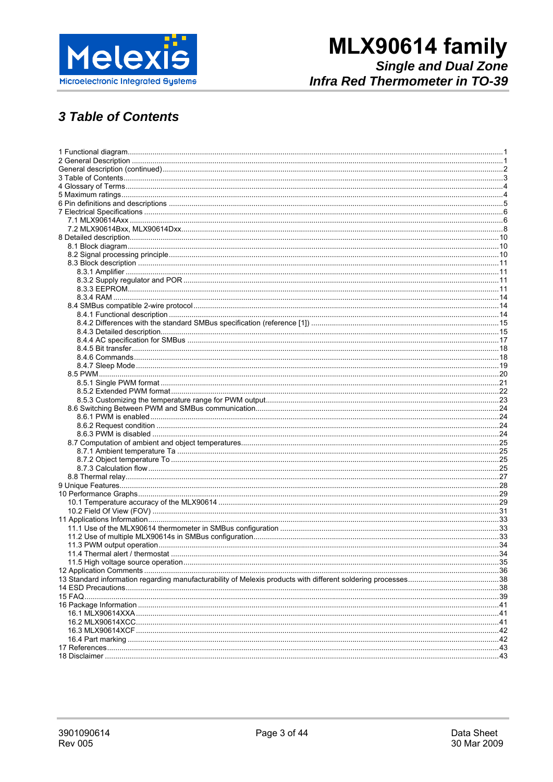

## **3 Table of Contents**

| 15 FAQ |  |
|--------|--|
|        |  |
|        |  |
|        |  |
|        |  |
|        |  |
|        |  |
|        |  |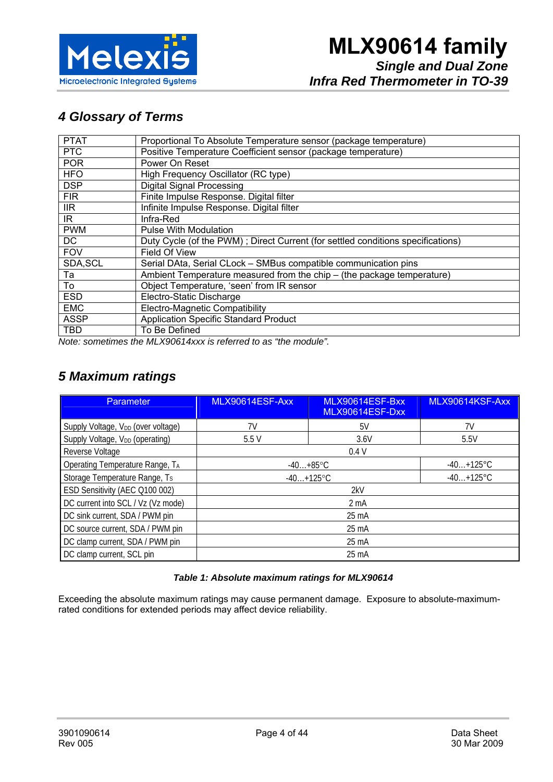

## *4 Glossary of Terms*

| <b>PTAT</b> | Proportional To Absolute Temperature sensor (package temperature)               |
|-------------|---------------------------------------------------------------------------------|
| <b>PTC</b>  | Positive Temperature Coefficient sensor (package temperature)                   |
| <b>POR</b>  | Power On Reset                                                                  |
| <b>HFO</b>  | High Frequency Oscillator (RC type)                                             |
| <b>DSP</b>  | <b>Digital Signal Processing</b>                                                |
| <b>FIR</b>  | Finite Impulse Response. Digital filter                                         |
| IIR.        | Infinite Impulse Response. Digital filter                                       |
| IR.         | Infra-Red                                                                       |
| <b>PWM</b>  | <b>Pulse With Modulation</b>                                                    |
| DC          | Duty Cycle (of the PWM); Direct Current (for settled conditions specifications) |
| <b>FOV</b>  | Field Of View                                                                   |
| SDA, SCL    | Serial DAta, Serial CLock - SMBus compatible communication pins                 |
| Та          | Ambient Temperature measured from the chip - (the package temperature)          |
| To          | Object Temperature, 'seen' from IR sensor                                       |
| <b>ESD</b>  | Electro-Static Discharge                                                        |
| <b>EMC</b>  | Electro-Magnetic Compatibility                                                  |
| <b>ASSP</b> | <b>Application Specific Standard Product</b>                                    |
| TBD         | To Be Defined                                                                   |
|             |                                                                                 |

*Note: sometimes the MLX90614xxx is referred to as "the module".* 

## *5 Maximum ratings*

| <b>Parameter</b>                               | MLX90614ESF-Axx  | MLX90614ESF-Bxx<br>MLX90614ESF-Dxx | MLX90614KSF-Axx |  |  |
|------------------------------------------------|------------------|------------------------------------|-----------------|--|--|
| Supply Voltage, V <sub>DD</sub> (over voltage) | 7V               | 5V                                 | 7V              |  |  |
| Supply Voltage, V <sub>DD</sub> (operating)    | 5.5V             | 3.6V                               | 5.5V            |  |  |
| Reverse Voltage                                | 0.4V             |                                    |                 |  |  |
| Operating Temperature Range, TA                | $-40+85$ °C      |                                    | $-40+125$ °C    |  |  |
| Storage Temperature Range, Ts                  | $-40+125$ °C     |                                    | $-40+125$ °C    |  |  |
| ESD Sensitivity (AEC Q100 002)                 |                  | 2kV                                |                 |  |  |
| DC current into SCL / Vz (Vz mode)             | 2 <sub>m</sub> A |                                    |                 |  |  |
| DC sink current, SDA / PWM pin                 | 25 mA            |                                    |                 |  |  |
| DC source current, SDA / PWM pin               | 25 mA            |                                    |                 |  |  |
| DC clamp current, SDA / PWM pin                | 25 mA            |                                    |                 |  |  |
| DC clamp current, SCL pin                      | 25 mA            |                                    |                 |  |  |

#### *Table 1: Absolute maximum ratings for MLX90614*

Exceeding the absolute maximum ratings may cause permanent damage. Exposure to absolute-maximumrated conditions for extended periods may affect device reliability.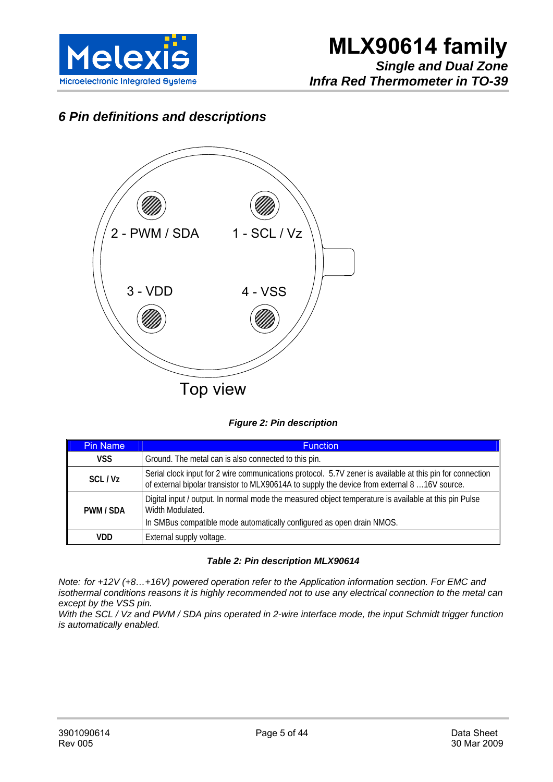

*Infra Red Thermometer in TO-39* 

## *6 Pin definitions and descriptions*



#### *Figure 2: Pin description*

| <b>Pin Name</b> | <b>Function</b>                                                                                                                                                                                            |
|-----------------|------------------------------------------------------------------------------------------------------------------------------------------------------------------------------------------------------------|
| <b>VSS</b>      | Ground. The metal can is also connected to this pin.                                                                                                                                                       |
| SCL/Vz          | Serial clock input for 2 wire communications protocol. 5.7V zener is available at this pin for connection<br>of external bipolar transistor to MLX90614A to supply the device from external 8  16V source. |
| PWM / SDA       | Digital input / output. In normal mode the measured object temperature is available at this pin Pulse<br>Width Modulated.                                                                                  |
|                 | In SMBus compatible mode automatically configured as open drain NMOS.                                                                                                                                      |
| VDD             | External supply voltage.                                                                                                                                                                                   |

#### *Table 2: Pin description MLX90614*

*Note: for +12V (+8…+16V) powered operation refer to the Application information section. For EMC and isothermal conditions reasons it is highly recommended not to use any electrical connection to the metal can except by the VSS pin.* 

*With the SCL / Vz and PWM / SDA pins operated in 2-wire interface mode, the input Schmidt trigger function is automatically enabled.*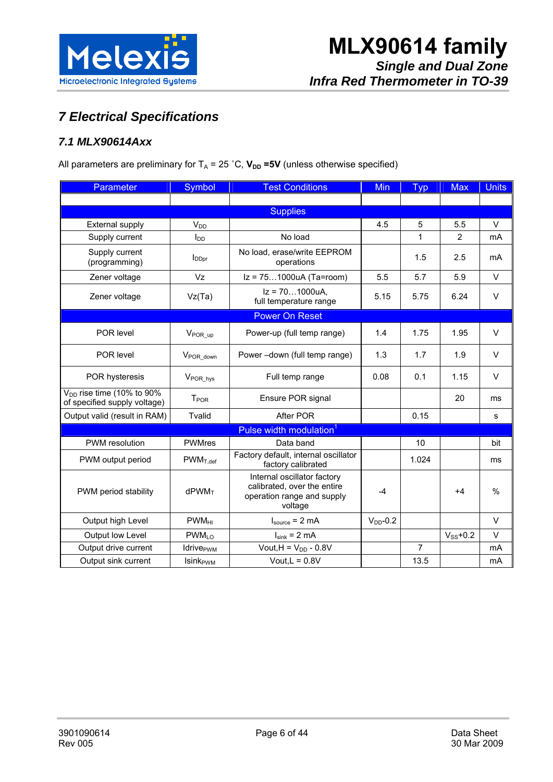

## *7 Electrical Specifications*

### *7.1 MLX90614Axx*

All parameters are preliminary for  $T_A = 25 \degree C$ ,  $V_{DD} = 5V$  (unless otherwise specified)

| Parameter                                                      | Symbol                       | <b>Test Conditions</b>                                                                              | <b>Min</b>    | <b>Typ</b>     | <b>Max</b>    | <b>Units</b> |
|----------------------------------------------------------------|------------------------------|-----------------------------------------------------------------------------------------------------|---------------|----------------|---------------|--------------|
|                                                                |                              |                                                                                                     |               |                |               |              |
|                                                                |                              | <b>Supplies</b>                                                                                     |               |                |               |              |
| <b>External supply</b>                                         | $V_{DD}$                     |                                                                                                     | 4.5           | 5              | 5.5           | $\vee$       |
| Supply current                                                 | <b>I</b> <sub>DD</sub>       | No load                                                                                             |               | 1              | 2             | mA           |
| Supply current<br>(programming)                                | <b>I</b> <sub>DDpr</sub>     | No load, erase/write EEPROM<br>operations                                                           |               | 1.5            | 2.5           | mA           |
| Zener voltage                                                  | Vz                           | Iz = 751000uA (Ta=room)                                                                             | 5.5           | 5.7            | 5.9           | $\vee$       |
| Zener voltage                                                  | Vz(Ta)                       | $Iz = 701000uA$ ,<br>full temperature range                                                         | 5.15          | 5.75           | 6.24          | $\vee$       |
|                                                                |                              | <b>Power On Reset</b>                                                                               |               |                |               |              |
| POR level                                                      | V <sub>POR_up</sub>          | Power-up (full temp range)                                                                          | 1.4           | 1.75           | 1.95          | $\vee$       |
| POR level                                                      | V <sub>POR_down</sub>        | Power-down (full temp range)                                                                        | 1.3           | 1.7            | 1.9           | $\vee$       |
| POR hysteresis                                                 | V <sub>POR_hys</sub>         | Full temp range                                                                                     | 0.08          | 0.1            | 1.15          | $\vee$       |
| $V_{DD}$ rise time (10% to 90%<br>of specified supply voltage) | <b>T</b> <sub>POR</sub>      | Ensure POR signal                                                                                   |               |                | 20            | ms           |
| Output valid (result in RAM)                                   | Tvalid                       | After POR                                                                                           |               | 0.15           |               | s            |
|                                                                |                              | Pulse width modulation <sup>1</sup>                                                                 |               |                |               |              |
| <b>PWM</b> resolution                                          | <b>PWMres</b>                | Data band                                                                                           |               | 10             |               | bit          |
| PWM output period                                              | $PWM_{T,def}$                | Factory default, internal oscillator<br>factory calibrated                                          |               | 1.024          |               | ms           |
| PWM period stability                                           | dPWM <sub>T</sub>            | Internal oscillator factory<br>calibrated, over the entire<br>operation range and supply<br>voltage | $-4$          |                | $+4$          | $\%$         |
| Output high Level                                              | <b>PWM<sub>HI</sub></b>      | $I_{source} = 2 mA$                                                                                 | $V_{DD}$ -0.2 |                |               | $\vee$       |
| Output low Level                                               | <b>PWMLO</b>                 | $I_{sink} = 2 mA$                                                                                   |               |                | $V_{SS}$ +0.2 | $\vee$       |
| Output drive current                                           | <b>Idrive</b> <sub>PWM</sub> | Vout, $H = V_{DD} - 0.8V$                                                                           |               | $\overline{7}$ |               | mA           |
| Output sink current                                            | <b>Isink</b> <sub>PWM</sub>  | Vout, $L = 0.8V$                                                                                    |               | 13.5           |               | mA           |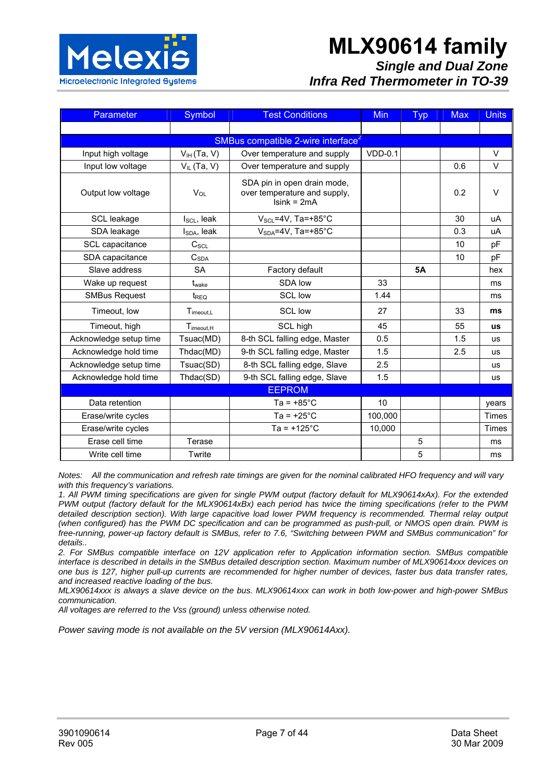

## **MLX90614 family**

#### *Single and Dual Zone Infra Red Thermometer in TO-39*

| <b>Parameter</b>       | Symbol                                         | <b>Test Conditions</b>                                                       | <b>Min</b> | <b>Typ</b> | <b>Max</b> | <b>Units</b> |  |  |
|------------------------|------------------------------------------------|------------------------------------------------------------------------------|------------|------------|------------|--------------|--|--|
|                        |                                                |                                                                              |            |            |            |              |  |  |
|                        | SMBus compatible 2-wire interface <sup>2</sup> |                                                                              |            |            |            |              |  |  |
| Input high voltage     | $V_{IH}$ (Ta, V)                               | Over temperature and supply                                                  | $VDD-0.1$  |            |            | $\vee$       |  |  |
| Input low voltage      | $V_{IL}$ (Ta, V)                               | Over temperature and supply                                                  |            |            | 0.6        | $\vee$       |  |  |
| Output low voltage     | $V_{OL}$                                       | SDA pin in open drain mode,<br>over temperature and supply,<br>$Isink = 2mA$ |            |            | 0.2        | $\vee$       |  |  |
| SCL leakage            | $I_{SCL}$ , leak                               | $V_{\text{SCL}} = 4V$ , Ta=+85°C                                             |            |            | 30         | uA           |  |  |
| SDA leakage            | $I_{SDA}$ , leak                               | $V_{SDA} = 4V$ , Ta=+85°C                                                    |            |            | 0.3        | uA           |  |  |
| SCL capacitance        | $C_{\textit{SCL}}$                             |                                                                              |            |            | 10         | pF           |  |  |
| SDA capacitance        | C <sub>SDA</sub>                               |                                                                              |            |            | 10         | pF           |  |  |
| Slave address          | <b>SA</b>                                      | Factory default                                                              |            | <b>5A</b>  |            | hex          |  |  |
| Wake up request        | $t_{\text{wake}}$                              | SDA low                                                                      | 33         |            |            | ms           |  |  |
| <b>SMBus Request</b>   | $t_{\text{REQ}}$                               | <b>SCL low</b>                                                               | 1.44       |            |            | ms           |  |  |
| Timeout, low           | Timeout.L                                      | <b>SCL low</b>                                                               | 27         |            | 33         | ms           |  |  |
| Timeout, high          | $T_{\text{imeout,H}}$                          | SCL high                                                                     | 45         |            | 55         | <b>us</b>    |  |  |
| Acknowledge setup time | Tsuac(MD)                                      | 8-th SCL falling edge, Master                                                | 0.5        |            | 1.5        | <b>us</b>    |  |  |
| Acknowledge hold time  | Thdac(MD)                                      | 9-th SCL falling edge, Master                                                | 1.5        |            | 2.5        | <b>us</b>    |  |  |
| Acknowledge setup time | Tsuac(SD)                                      | 8-th SCL falling edge, Slave                                                 | 2.5        |            |            | <b>us</b>    |  |  |
| Acknowledge hold time  | Thdac(SD)                                      | 9-th SCL falling edge, Slave                                                 | 1.5        |            |            | <b>us</b>    |  |  |
| <b>EEPROM</b>          |                                                |                                                                              |            |            |            |              |  |  |
| Data retention         |                                                | $Ta = +85^{\circ}C$                                                          | 10         |            |            | years        |  |  |
| Erase/write cycles     |                                                | $Ta = +25^{\circ}C$                                                          | 100.000    |            |            | Times        |  |  |
| Erase/write cycles     |                                                | $Ta = +125^{\circ}C$                                                         | 10,000     |            |            | <b>Times</b> |  |  |
| Erase cell time        | Terase                                         |                                                                              |            | 5          |            | ms           |  |  |
| Write cell time        | Twrite                                         |                                                                              |            | 5          |            | ms           |  |  |

*Notes: All the communication and refresh rate timings are given for the nominal calibrated HFO frequency and will vary with this frequency's variations.* 

*1. All PWM timing specifications are given for single PWM output (factory default for MLX90614xAx). For the extended PWM output (factory default for the MLX90614xBx) each period has twice the timing specifications (refer to the PWM detailed description section). With large capacitive load lower PWM frequency is recommended. Thermal relay output (when configured) has the PWM DC specification and can be programmed as push-pull, or NMOS open drain. PWM is free-running, power-up factory default is SMBus, refer to 7.6, "Switching between PWM and SMBus communication" for details..* 

*2. For SMBus compatible interface on 12V application refer to Application information section. SMBus compatible interface is described in details in the SMBus detailed description section. Maximum number of MLX90614xxx devices on one bus is 127, higher pull-up currents are recommended for higher number of devices, faster bus data transfer rates, and increased reactive loading of the bus.* 

*MLX90614xxx is always a slave device on the bus. MLX90614xxx can work in both low-power and high-power SMBus communication.* 

*All voltages are referred to the Vss (ground) unless otherwise noted.* 

*Power saving mode is not available on the 5V version (MLX90614Axx).*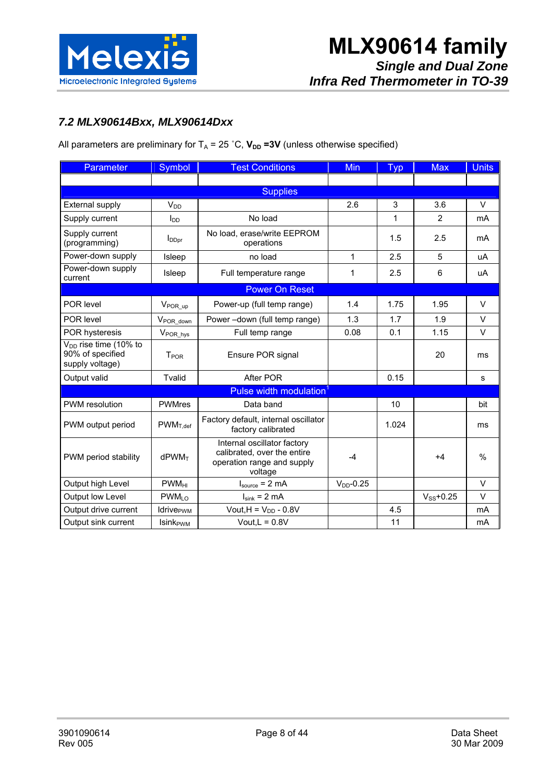

#### *7.2 MLX90614Bxx, MLX90614Dxx*

All parameters are preliminary for  $T_A = 25 \degree C$ ,  $V_{DD} = 3V$  (unless otherwise specified)

| Parameter                                                                | Symbol                       | <b>Test Conditions</b>                                                                              | <b>Min</b>   | <b>Typ</b>   | <b>Max</b>     | <b>Units</b> |  |  |
|--------------------------------------------------------------------------|------------------------------|-----------------------------------------------------------------------------------------------------|--------------|--------------|----------------|--------------|--|--|
|                                                                          |                              |                                                                                                     |              |              |                |              |  |  |
|                                                                          | <b>Supplies</b>              |                                                                                                     |              |              |                |              |  |  |
| <b>External supply</b>                                                   | $V_{DD}$                     |                                                                                                     | 2.6          | 3            | 3.6            | $\vee$       |  |  |
| Supply current                                                           | $I_{DD}$                     | No load                                                                                             |              | $\mathbf{1}$ | 2              | mA           |  |  |
| Supply current<br>(programming)                                          | <b>I</b> <sub>DDpr</sub>     | No load, erase/write EEPROM<br>operations                                                           |              | 1.5          | 2.5            | mA           |  |  |
| Power-down supply                                                        | Isleep                       | no load                                                                                             | 1            | 2.5          | 5              | uA           |  |  |
| Power-down supply<br>current                                             | <b>Isleep</b>                | Full temperature range                                                                              | 1            | 2.5          | 6              | uA           |  |  |
|                                                                          |                              | <b>Power On Reset</b>                                                                               |              |              |                |              |  |  |
| POR level                                                                | $V_{\text{POR\_up}}$         | Power-up (full temp range)                                                                          | 1.4          | 1.75         | 1.95           | $\vee$       |  |  |
| POR level                                                                | VPOR_down                    | Power-down (full temp range)                                                                        | 1.3          | 1.7          | 1.9            | V            |  |  |
| <b>POR hysteresis</b>                                                    | V <sub>POR_hys</sub>         | Full temp range                                                                                     | 0.08         | 0.1          | 1.15           | $\vee$       |  |  |
| V <sub>DD</sub> rise time (10% to<br>90% of specified<br>supply voltage) | T <sub>POR</sub>             | Ensure POR signal                                                                                   |              |              | 20             | ms           |  |  |
| Output valid                                                             | Tvalid                       | After POR                                                                                           |              | 0.15         |                | s            |  |  |
|                                                                          |                              | Pulse width modulation                                                                              |              |              |                |              |  |  |
| <b>PWM</b> resolution                                                    | <b>PWMres</b>                | Data band                                                                                           |              | 10           |                | bit          |  |  |
| PWM output period                                                        | $PWM_{T,def}$                | Factory default, internal oscillator<br>factory calibrated                                          |              | 1.024        |                | ms           |  |  |
| PWM period stability                                                     | $d$ PWM $\tau$               | Internal oscillator factory<br>calibrated, over the entire<br>operation range and supply<br>voltage | $-4$         |              | +4             | %            |  |  |
| Output high Level                                                        | $PWM_{HI}$                   | $I_{source} = 2 mA$                                                                                 | $VDD - 0.25$ |              |                | V            |  |  |
| Output low Level                                                         | PWM <sub>LO</sub>            | $I_{sink}$ = 2 mA                                                                                   |              |              | $V_{SS}$ +0.25 | V            |  |  |
| Output drive current                                                     | <b>Idrive</b> <sub>PWM</sub> | Vout, $H = V_{DD} - 0.8V$                                                                           |              | 4.5          |                | mA           |  |  |
| Output sink current                                                      | <b>Isink</b> <sub>PWM</sub>  | Vout, $L = 0.8V$                                                                                    |              | 11           |                | mA           |  |  |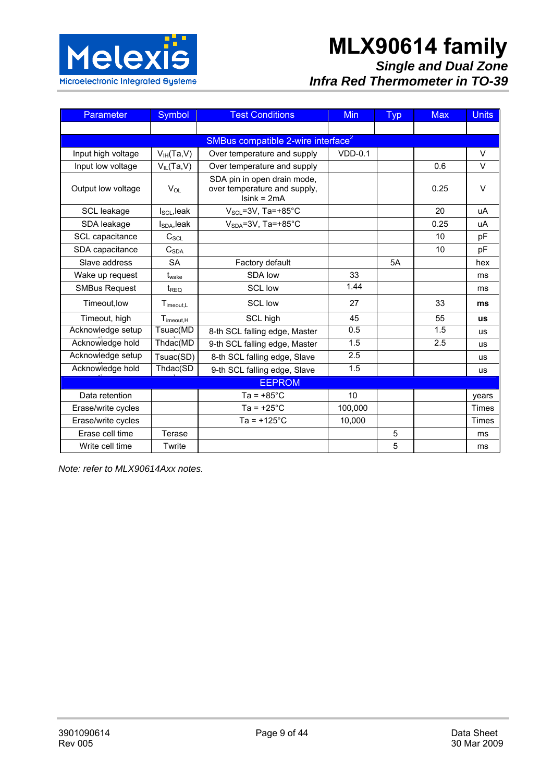

# **MLX90614 family**

## *Single and Dual Zone Infra Red Thermometer in TO-39*

| <b>Parameter</b>     | Symbol                 | <b>Test Conditions</b>                                                       | <b>Min</b> | <b>Typ</b> | <b>Max</b> | <b>Units</b> |
|----------------------|------------------------|------------------------------------------------------------------------------|------------|------------|------------|--------------|
|                      |                        |                                                                              |            |            |            |              |
|                      |                        | SMBus compatible 2-wire interface <sup>2</sup>                               |            |            |            |              |
| Input high voltage   | $V_{IH}(Ta,V)$         | Over temperature and supply                                                  | $VDD-0.1$  |            |            | $\vee$       |
| Input low voltage    | $V_{IL}(Ta,V)$         | Over temperature and supply                                                  |            |            | 0.6        | $\vee$       |
| Output low voltage   | <b>V</b> <sub>OL</sub> | SDA pin in open drain mode,<br>over temperature and supply,<br>$Isink = 2mA$ |            |            | 0.25       | $\vee$       |
| SCL leakage          | $ISCI$ , leak          | $V_{\text{SCL}} = 3V$ , Ta=+85°C                                             |            |            | 20         | uA           |
| SDA leakage          | $I_{SDA}$ , leak       | $V_{SDA} = 3V$ , Ta=+85°C                                                    |            |            | 0.25       | uA           |
| SCL capacitance      | C <sub>SCL</sub>       |                                                                              |            |            | 10         | pF           |
| SDA capacitance      | $C_{SDA}$              |                                                                              |            |            | 10         | pF           |
| Slave address        | <b>SA</b>              | Factory default                                                              |            | 5A         |            | hex          |
| Wake up request      | t <sub>wake</sub>      | SDA low                                                                      | 33         |            |            | ms           |
| <b>SMBus Request</b> | $t_{\text{REO}}$       | <b>SCL low</b>                                                               | 1.44       |            |            | ms           |
| Timeout.low          | $T_{\text{imecut},L}$  | <b>SCL low</b>                                                               | 27         |            | 33         | ms           |
| Timeout, high        | $T_{\text{imecut,H}}$  | SCL high                                                                     | 45         |            | 55         | <b>us</b>    |
| Acknowledge setup    | Tsuac(MD               | 8-th SCL falling edge, Master                                                | 0.5        |            | 1.5        | <b>us</b>    |
| Acknowledge hold     | Thdac(MD               | 9-th SCL falling edge, Master                                                | 1.5        |            | 2.5        | <b>us</b>    |
| Acknowledge setup    | Tsuac(SD)              | 8-th SCL falling edge, Slave                                                 | 2.5        |            |            | <b>us</b>    |
| Acknowledge hold     | Thdac(SD               | 9-th SCL falling edge, Slave                                                 | 1.5        |            |            | <b>us</b>    |
|                      |                        | <b>EEPROM</b>                                                                |            |            |            |              |
| Data retention       |                        | Ta = $+85^{\circ}$ C                                                         | 10         |            |            | years        |
| Erase/write cycles   |                        | $Ta = +25^{\circ}C$                                                          | 100,000    |            |            | <b>Times</b> |
| Erase/write cycles   |                        | $Ta = +125^{\circ}C$                                                         | 10,000     |            |            | Times        |
| Erase cell time      | Terase                 |                                                                              |            | 5          |            | ms           |
| Write cell time      | Twrite                 |                                                                              |            | 5          |            | ms           |

*Note: refer to MLX90614Axx notes.*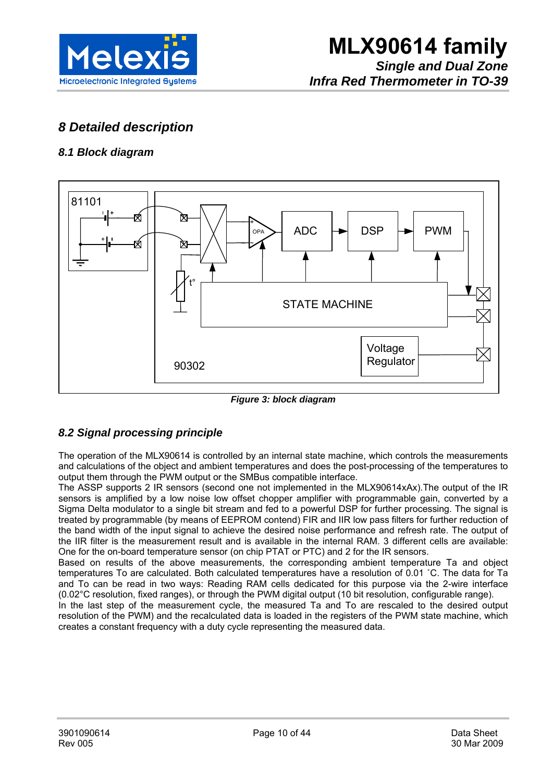

## *8 Detailed description*

#### *8.1 Block diagram*



*Figure 3: block diagram* 

#### *8.2 Signal processing principle*

The operation of the MLX90614 is controlled by an internal state machine, which controls the measurements and calculations of the object and ambient temperatures and does the post-processing of the temperatures to output them through the PWM output or the SMBus compatible interface.

The ASSP supports 2 IR sensors (second one not implemented in the MLX90614xAx).The output of the IR sensors is amplified by a low noise low offset chopper amplifier with programmable gain, converted by a Sigma Delta modulator to a single bit stream and fed to a powerful DSP for further processing. The signal is treated by programmable (by means of EEPROM contend) FIR and IIR low pass filters for further reduction of the band width of the input signal to achieve the desired noise performance and refresh rate. The output of the IIR filter is the measurement result and is available in the internal RAM. 3 different cells are available: One for the on-board temperature sensor (on chip PTAT or PTC) and 2 for the IR sensors.

Based on results of the above measurements, the corresponding ambient temperature Ta and object temperatures To are calculated. Both calculated temperatures have a resolution of 0.01 ˚C. The data for Ta and To can be read in two ways: Reading RAM cells dedicated for this purpose via the 2-wire interface (0.02°C resolution, fixed ranges), or through the PWM digital output (10 bit resolution, configurable range).

In the last step of the measurement cycle, the measured Ta and To are rescaled to the desired output resolution of the PWM) and the recalculated data is loaded in the registers of the PWM state machine, which creates a constant frequency with a duty cycle representing the measured data.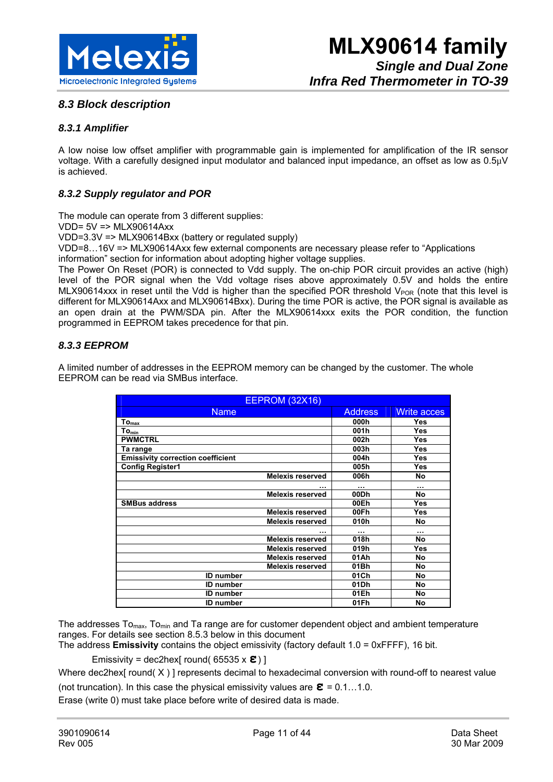

#### *8.3 Block description*

#### *8.3.1 Amplifier*

A low noise low offset amplifier with programmable gain is implemented for amplification of the IR sensor voltage. With a carefully designed input modulator and balanced input impedance, an offset as low as 0.5µV is achieved.

#### *8.3.2 Supply regulator and POR*

The module can operate from 3 different supplies:

VDD= 5V => MLX90614Axx

VDD=3.3V => MLX90614Bxx (battery or regulated supply)

VDD=8…16V => MLX90614Axx few external components are necessary please refer to "Applications information" section for information about adopting higher voltage supplies.

The Power On Reset (POR) is connected to Vdd supply. The on-chip POR circuit provides an active (high) level of the POR signal when the Vdd voltage rises above approximately 0.5V and holds the entire MLX90614xxx in reset until the Vdd is higher than the specified POR threshold V<sub>POR</sub> (note that this level is different for MLX90614Axx and MLX90614Bxx). During the time POR is active, the POR signal is available as an open drain at the PWM/SDA pin. After the MLX90614xxx exits the POR condition, the function programmed in EEPROM takes precedence for that pin.

#### *8.3.3 EEPROM*

A limited number of addresses in the EEPROM memory can be changed by the customer. The whole EEPROM can be read via SMBus interface.

| <b>EEPROM (32X16)</b>                    |                |                    |  |  |
|------------------------------------------|----------------|--------------------|--|--|
| <b>Name</b>                              | <b>Address</b> | <b>Write acces</b> |  |  |
| $To_{max}$                               | 000h           | Yes                |  |  |
| $To_{min}$                               | 001h           | Yes                |  |  |
| <b>PWMCTRL</b>                           | 002h           | <b>Yes</b>         |  |  |
| Ta range                                 | 003h           | <b>Yes</b>         |  |  |
| <b>Emissivity correction coefficient</b> | 004h           | Yes                |  |  |
| <b>Config Register1</b>                  | 005h           | Yes                |  |  |
| <b>Melexis reserved</b>                  | 006h           | No                 |  |  |
|                                          |                |                    |  |  |
| <b>Melexis reserved</b>                  | 00Dh           | <b>No</b>          |  |  |
| <b>SMBus address</b>                     | 00Eh           | <b>Yes</b>         |  |  |
| <b>Melexis reserved</b>                  | 00Fh           | <b>Yes</b>         |  |  |
| <b>Melexis reserved</b>                  | 010h           | No                 |  |  |
|                                          |                |                    |  |  |
| <b>Melexis reserved</b>                  | 018h           | <b>No</b>          |  |  |
| <b>Melexis reserved</b>                  | 019h           | <b>Yes</b>         |  |  |
| <b>Melexis reserved</b>                  | 01Ah           | No                 |  |  |
| <b>Melexis reserved</b>                  | 01Bh           | No                 |  |  |
| <b>ID</b> number                         | 01Ch           | No                 |  |  |
| <b>ID</b> number                         | 01Dh           | No                 |  |  |
| <b>ID</b> number                         | 01Eh           | No                 |  |  |
| <b>ID</b> number                         | 01Fh           | No                 |  |  |

The addresses To<sub>max</sub>, To<sub>min</sub> and Ta range are for customer dependent object and ambient temperature ranges. For details see section 8.5.3 below in this document

The address **Emissivity** contains the object emissivity (factory default 1.0 = 0xFFFF), 16 bit.

Emissivity = dec2hex[ round( 65535 x **ε**) ]

Where dec2hex[ round( X ) ] represents decimal to hexadecimal conversion with round-off to nearest value

(not truncation). In this case the physical emissivity values are  $\boldsymbol{\epsilon} = 0.1...1.0$ .

Erase (write 0) must take place before write of desired data is made.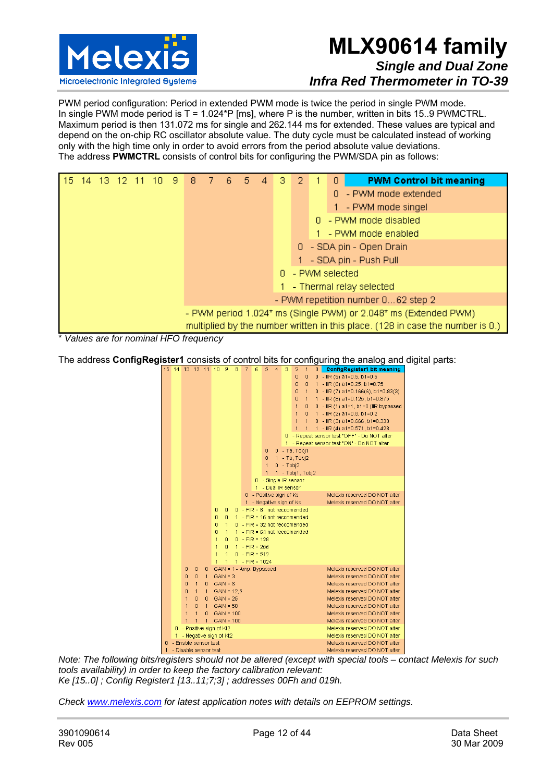

PWM period configuration: Period in extended PWM mode is twice the period in single PWM mode. In single PWM mode period is T = 1.024\*P [ms], where P is the number, written in bits 15..9 PWMCTRL. Maximum period is then 131.072 ms for single and 262.144 ms for extended. These values are typical and depend on the on-chip RC oscillator absolute value. The duty cycle must be calculated instead of working only with the high time only in order to avoid errors from the period absolute value deviations. The address **PWMCTRL** consists of control bits for configuring the PWM/SDA pin as follows:



\* *Values are for nominal HFO frequency*

The address **ConfigRegister1** consists of control bits for configuring the analog and digital parts:<br>  $\frac{15 \times 14}{15 \times 14}$   $\frac{13 \times 12 \times 11}{10 \times 9 \times 8}$   $\frac{7}{16 \times 5 \times 4}$   $\frac{8 \times 7 \times 1}{16 \times 1}$   $\frac{2 \times 1}{10 \times 1}$  **Confi** 



*Note: The following bits/registers should not be altered (except with special tools – contact Melexis for such tools availability) in order to keep the factory calibration relevant: Ke [15..0] ; Config Register1 [13..11;7;3] ; addresses 00Fh and 019h.* 

*Check www.melexis.com for latest application notes with details on EEPROM settings.*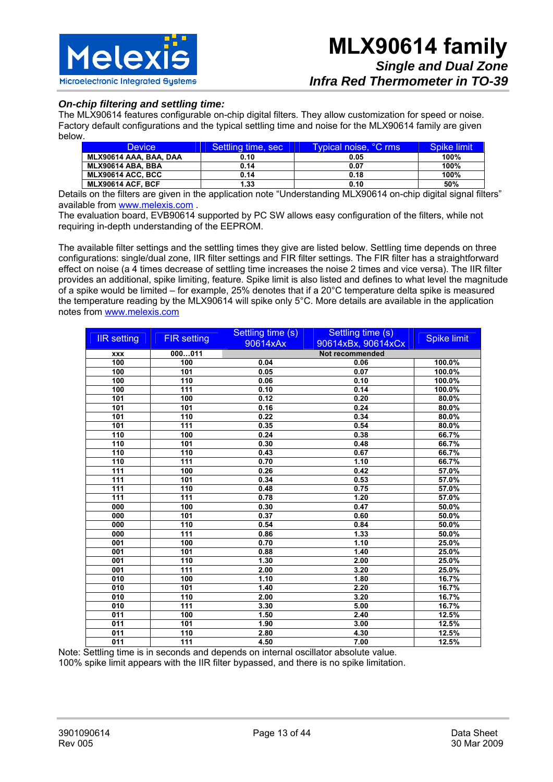

#### *On-chip filtering and settling time:*

The MLX90614 features configurable on-chip digital filters. They allow customization for speed or noise. Factory default configurations and the typical settling time and noise for the MLX90614 family are given below.

| <b>Device</b>                | Settling time, sec | Typical noise, °C rms | Spike limit |
|------------------------------|--------------------|-----------------------|-------------|
| MLX90614 AAA, BAA, DAA       | 0.10               | 0.05                  | 100%        |
| MLX90614 ABA. BBA            | 0.14               | 0.07                  | 100%        |
| MLX90614 ACC. BCC            | 0.14               | 0.18                  | 100%        |
| <b>MLX90614 ACF. BCF</b>     | 1.33               | 0.10                  | 50%         |
| $ -$<br>$\sim$ $\sim$ $\sim$ |                    | .<br>----------<br>.  | .<br>.      |

Details on the filters are given in the application note "Understanding MLX90614 on-chip digital signal filters" available from www.melexis.com .

The evaluation board, EVB90614 supported by PC SW allows easy configuration of the filters, while not requiring in-depth understanding of the EEPROM.

The available filter settings and the settling times they give are listed below. Settling time depends on three configurations: single/dual zone, IIR filter settings and FIR filter settings. The FIR filter has a straightforward effect on noise (a 4 times decrease of settling time increases the noise 2 times and vice versa). The IIR filter provides an additional, spike limiting, feature. Spike limit is also listed and defines to what level the magnitude of a spike would be limited – for example, 25% denotes that if a 20°C temperature delta spike is measured the temperature reading by the MLX90614 will spike only 5°C. More details are available in the application notes from www.melexis.com

| <b>IIR</b> setting | <b>FIR setting</b> | Settling time (s) | Settling time (s)  | <b>Spike limit</b> |
|--------------------|--------------------|-------------------|--------------------|--------------------|
|                    |                    | 90614xAx          | 90614xBx, 90614xCx |                    |
| <b>XXX</b>         | 000011             |                   | Not recommended    |                    |
| 100                | 100                | 0.04              | 0.06               | 100.0%             |
| 100                | 101                | 0.05              | 0.07               | 100.0%             |
| 100                | 110                | 0.06              | 0.10               | 100.0%             |
| 100                | 111                | 0.10              | 0.14               | 100.0%             |
| 101                | 100                | 0.12              | 0.20               | 80.0%              |
| 101                | 101                | 0.16              | 0.24               | 80.0%              |
| 101                | 110                | 0.22              | 0.34               | 80.0%              |
| 101                | 111                | 0.35              | 0.54               | 80.0%              |
| 110                | 100                | 0.24              | 0.38               | 66.7%              |
| 110                | 101                | 0.30              | 0.48               | 66.7%              |
| 110                | 110                | 0.43              | 0.67               | 66.7%              |
| 110                | 111                | 0.70              | 1.10               | 66.7%              |
| 111                | 100                | 0.26              | 0.42               | 57.0%              |
| 111                | 101                | 0.34              | 0.53               | 57.0%              |
| 111                | 110                | 0.48              | 0.75               | 57.0%              |
| 111                | 111                | 0.78              | 1.20               | 57.0%              |
| 000                | 100                | 0.30              | 0.47               | 50.0%              |
| 000                | 101                | 0.37              | 0.60               | 50.0%              |
| 000                | 110                | 0.54              | 0.84               | 50.0%              |
| 000                | 111                | 0.86              | 1.33               | 50.0%              |
| 001                | 100                | 0.70              | 1.10               | 25.0%              |
| 001                | 101                | 0.88              | 1.40               | 25.0%              |
| 001                | 110                | 1.30              | 2.00               | 25.0%              |
| 001                | 111                | 2.00              | 3.20               | 25.0%              |
| 010                | 100                | 1.10              | 1.80               | 16.7%              |
| 010                | 101                | 1.40              | 2.20               | 16.7%              |
| 010                | 110                | 2.00              | 3.20               | 16.7%              |
| 010                | 111                | 3.30              | 5.00               | 16.7%              |
| 011                | 100                | 1.50              | 2.40               | 12.5%              |
| 011                | 101                | 1.90              | 3.00               | 12.5%              |
| 011                | 110                | 2.80              | 4.30               | 12.5%              |
| 011                | 111                | 4.50              | 7.00               | 12.5%              |

Note: Settling time is in seconds and depends on internal oscillator absolute value.

100% spike limit appears with the IIR filter bypassed, and there is no spike limitation.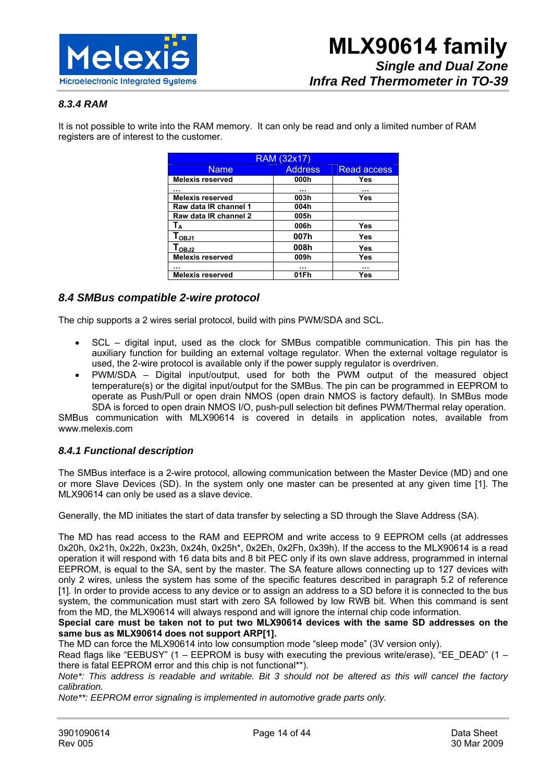

#### *8.3.4 RAM*

It is not possible to write into the RAM memory. It can only be read and only a limited number of RAM registers are of interest to the customer.

| RAM (32x17)                  |                |                    |  |  |  |  |
|------------------------------|----------------|--------------------|--|--|--|--|
| <b>Name</b>                  | <b>Address</b> | <b>Read access</b> |  |  |  |  |
| <b>Melexis reserved</b>      | 000h           | Yes                |  |  |  |  |
|                              |                |                    |  |  |  |  |
| <b>Melexis reserved</b>      | 003h           | Yes                |  |  |  |  |
| Raw data IR channel 1        | 004h           |                    |  |  |  |  |
| Raw data IR channel 2        | 005h           |                    |  |  |  |  |
| Тд                           | 006h           | Yes                |  |  |  |  |
| $T_{OBJ1}$                   | 007h           | Yes                |  |  |  |  |
| $\mathsf{T}_{\mathsf{OBJ2}}$ | 008h           | Yes                |  |  |  |  |
| <b>Melexis reserved</b>      | 009h           | Yes                |  |  |  |  |
| .                            |                |                    |  |  |  |  |
| <b>Melexis reserved</b>      | 01Fh           | Yes                |  |  |  |  |

#### *8.4 SMBus compatible 2-wire protocol*

The chip supports a 2 wires serial protocol, build with pins PWM/SDA and SCL.

- SCL digital input, used as the clock for SMBus compatible communication. This pin has the auxiliary function for building an external voltage regulator. When the external voltage regulator is used, the 2-wire protocol is available only if the power supply regulator is overdriven.
- PWM/SDA Digital input/output, used for both the PWM output of the measured object temperature(s) or the digital input/output for the SMBus. The pin can be programmed in EEPROM to operate as Push/Pull or open drain NMOS (open drain NMOS is factory default). In SMBus mode SDA is forced to open drain NMOS I/O, push-pull selection bit defines PWM/Thermal relay operation.

SMBus communication with MLX90614 is covered in details in application notes, available from www.melexis.com

#### *8.4.1 Functional description*

The SMBus interface is a 2-wire protocol, allowing communication between the Master Device (MD) and one or more Slave Devices (SD). In the system only one master can be presented at any given time [1]. The MLX90614 can only be used as a slave device.

Generally, the MD initiates the start of data transfer by selecting a SD through the Slave Address (SA).

The MD has read access to the RAM and EEPROM and write access to 9 EEPROM cells (at addresses 0x20h, 0x21h, 0x22h, 0x23h, 0x24h, 0x25h\*, 0x2Eh, 0x2Fh, 0x39h). If the access to the MLX90614 is a read operation it will respond with 16 data bits and 8 bit PEC only if its own slave address, programmed in internal EEPROM, is equal to the SA, sent by the master. The SA feature allows connecting up to 127 devices with only 2 wires, unless the system has some of the specific features described in paragraph 5.2 of reference [1]. In order to provide access to any device or to assign an address to a SD before it is connected to the bus system, the communication must start with zero SA followed by low RWB bit. When this command is sent from the MD, the MLX90614 will always respond and will ignore the internal chip code information.

#### **Special care must be taken not to put two MLX90614 devices with the same SD addresses on the same bus as MLX90614 does not support ARP[1].**

The MD can force the MLX90614 into low consumption mode "sleep mode" (3V version only).

Read flags like "EEBUSY" (1 – EEPROM is busy with executing the previous write/erase), "EE\_DEAD" (1 – there is fatal EEPROM error and this chip is not functional\*\*).

*Note\*: This address is readable and writable. Bit 3 should not be altered as this will cancel the factory calibration.* 

*Note\*\*: EEPROM error signaling is implemented in automotive grade parts only.*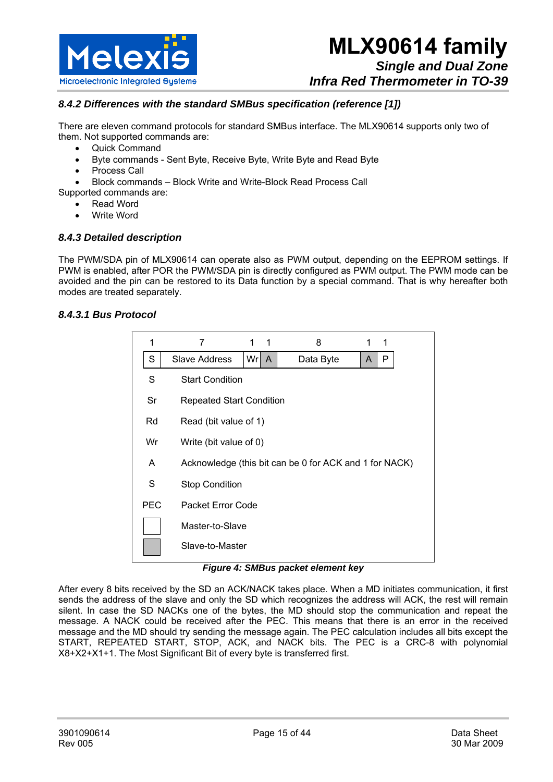

#### *8.4.2 Differences with the standard SMBus specification (reference [1])*

There are eleven command protocols for standard SMBus interface. The MLX90614 supports only two of them. Not supported commands are:

- Quick Command
- Byte commands Sent Byte, Receive Byte, Write Byte and Read Byte
- Process Call
- Block commands Block Write and Write-Block Read Process Call

Supported commands are:

- Read Word
- Write Word

#### *8.4.3 Detailed description*

The PWM/SDA pin of MLX90614 can operate also as PWM output, depending on the EEPROM settings. If PWM is enabled, after POR the PWM/SDA pin is directly configured as PWM output. The PWM mode can be avoided and the pin can be restored to its Data function by a special command. That is why hereafter both modes are treated separately.

#### *8.4.3.1 Bus Protocol*

| 1          | 7               |                                                        | 1 | 8         |   |   |  |  |
|------------|-----------------|--------------------------------------------------------|---|-----------|---|---|--|--|
| S          | Slave Address   | Wr  A                                                  |   | Data Byte | A | P |  |  |
| S          |                 | <b>Start Condition</b>                                 |   |           |   |   |  |  |
| Sr         |                 | <b>Repeated Start Condition</b>                        |   |           |   |   |  |  |
| Rd         |                 | Read (bit value of 1)                                  |   |           |   |   |  |  |
| Wr         |                 | Write (bit value of 0)                                 |   |           |   |   |  |  |
| A          |                 | Acknowledge (this bit can be 0 for ACK and 1 for NACK) |   |           |   |   |  |  |
| S          |                 | <b>Stop Condition</b>                                  |   |           |   |   |  |  |
| <b>PEC</b> |                 | Packet Error Code                                      |   |           |   |   |  |  |
|            |                 | Master-to-Slave                                        |   |           |   |   |  |  |
|            | Slave-to-Master |                                                        |   |           |   |   |  |  |

#### *Figure 4: SMBus packet element key*

After every 8 bits received by the SD an ACK/NACK takes place. When a MD initiates communication, it first sends the address of the slave and only the SD which recognizes the address will ACK, the rest will remain silent. In case the SD NACKs one of the bytes, the MD should stop the communication and repeat the message. A NACK could be received after the PEC. This means that there is an error in the received message and the MD should try sending the message again. The PEC calculation includes all bits except the START, REPEATED START, STOP, ACK, and NACK bits. The PEC is a CRC-8 with polynomial X8+X2+X1+1. The Most Significant Bit of every byte is transferred first.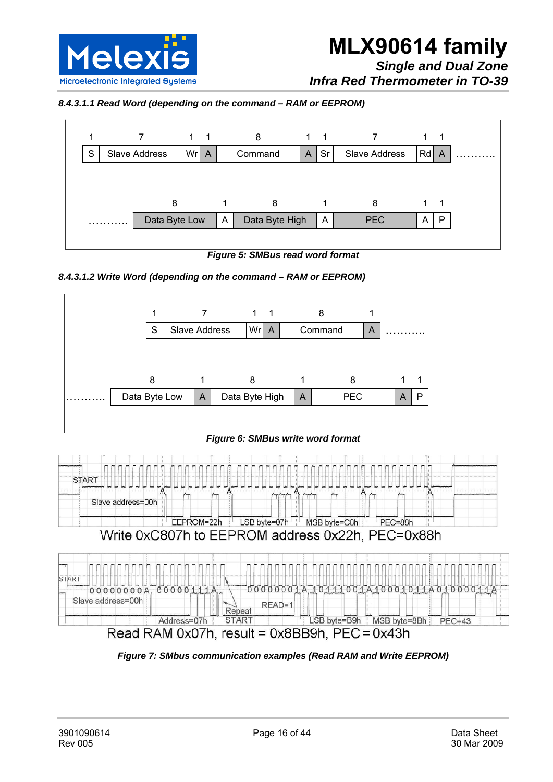

*Infra Red Thermometer in TO-39* 

*8.4.3.1.1 Read Word (depending on the command – RAM or EEPROM)* 



*Figure 5: SMBus read word format* 







*Figure 7: SMbus communication examples (Read RAM and Write EEPROM)*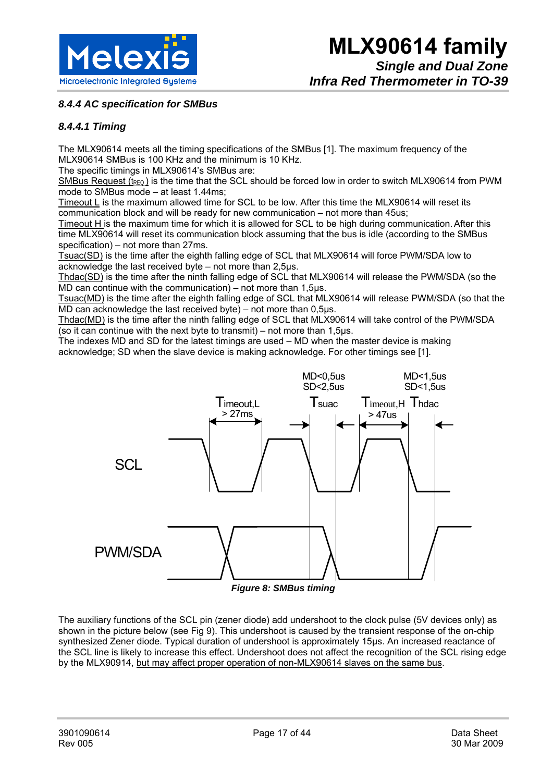

*8.4.4 AC specification for SMBus* 

#### *8.4.4.1 Timing*

The MLX90614 meets all the timing specifications of the SMBus [1]. The maximum frequency of the MLX90614 SMBus is 100 KHz and the minimum is 10 KHz.

The specific timings in MLX90614's SMBus are:

SMBus Request ( $t_{\text{REQ}}$ ) is the time that the SCL should be forced low in order to switch MLX90614 from PWM mode to SMBus mode – at least 1.44ms;

Timeout L is the maximum allowed time for SCL to be low. After this time the MLX90614 will reset its communication block and will be ready for new communication – not more than 45us;

Timeout H is the maximum time for which it is allowed for SCL to be high during communication.After this time MLX90614 will reset its communication block assuming that the bus is idle (according to the SMBus specification) – not more than 27ms.

Tsuac(SD) is the time after the eighth falling edge of SCL that MLX90614 will force PWM/SDA low to acknowledge the last received byte – not more than 2,5μs.

Thdac(SD) is the time after the ninth falling edge of SCL that MLX90614 will release the PWM/SDA (so the MD can continue with the communication) – not more than 1,5μs.

Tsuac(MD) is the time after the eighth falling edge of SCL that MLX90614 will release PWM/SDA (so that the MD can acknowledge the last received byte) – not more than 0,5μs.

Thdac(MD) is the time after the ninth falling edge of SCL that MLX90614 will take control of the PWM/SDA (so it can continue with the next byte to transmit) – not more than  $1,5$ μs.

The indexes MD and SD for the latest timings are used – MD when the master device is making acknowledge; SD when the slave device is making acknowledge. For other timings see [1].



*Figure 8: SMBus timing* 

The auxiliary functions of the SCL pin (zener diode) add undershoot to the clock pulse (5V devices only) as shown in the picture below (see Fig 9). This undershoot is caused by the transient response of the on-chip synthesized Zener diode. Typical duration of undershoot is approximately 15μs. An increased reactance of the SCL line is likely to increase this effect. Undershoot does not affect the recognition of the SCL rising edge by the MLX90914, but may affect proper operation of non-MLX90614 slaves on the same bus.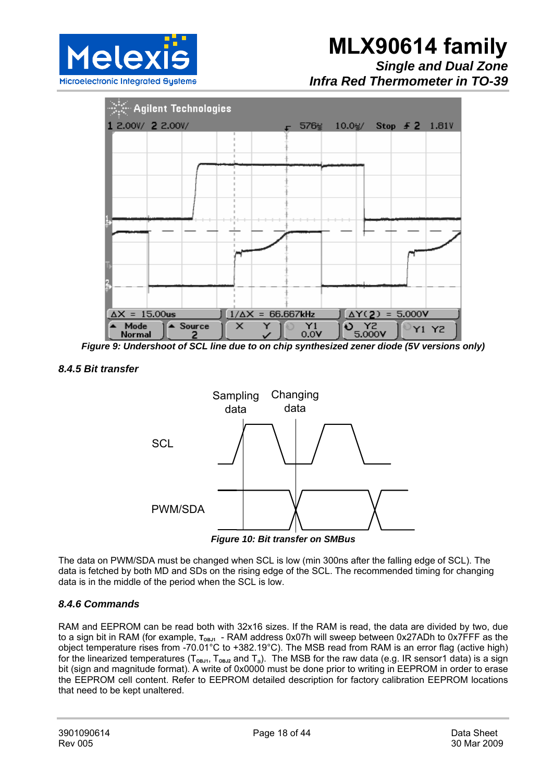

*Infra Red Thermometer in TO-39* 



*Figure 9: Undershoot of SCL line due to on chip synthesized zener diode (5V versions only)* 

#### *8.4.5 Bit transfer*



*Figure 10: Bit transfer on SMBus* 

The data on PWM/SDA must be changed when SCL is low (min 300ns after the falling edge of SCL). The data is fetched by both MD and SDs on the rising edge of the SCL. The recommended timing for changing data is in the middle of the period when the SCL is low.

#### *8.4.6 Commands*

RAM and EEPROM can be read both with 32x16 sizes. If the RAM is read, the data are divided by two, due to a sign bit in RAM (for example,  $T_{OBJ1}$  - RAM address 0x07h will sweep between 0x27ADh to 0x7FFF as the object temperature rises from -70.01°C to +382.19°C). The MSB read from RAM is an error flag (active high) for the linearized temperatures ( $T_{OBL1}$ ,  $T_{OBL2}$  and  $T_a$ ). The MSB for the raw data (e.g. IR sensor1 data) is a sign bit (sign and magnitude format). A write of 0x0000 must be done prior to writing in EEPROM in order to erase the EEPROM cell content. Refer to EEPROM detailed description for factory calibration EEPROM locations that need to be kept unaltered.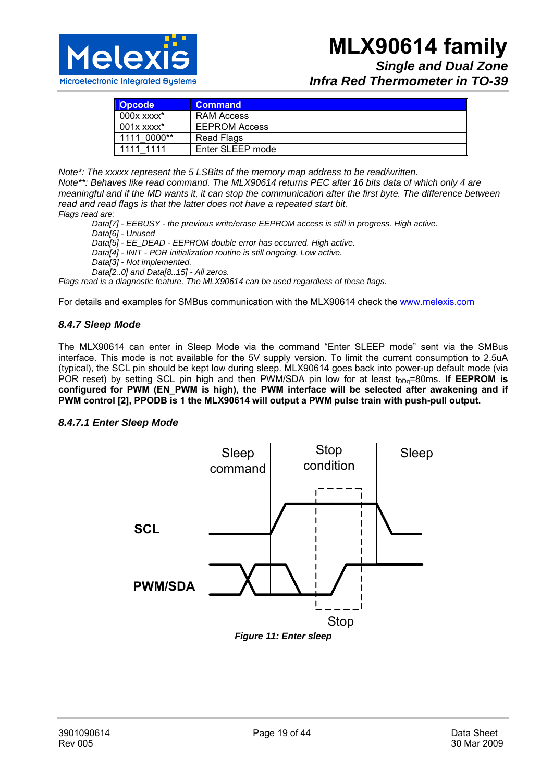

### *Single and Dual Zone Infra Red Thermometer in TO-39*

| <b>Opcode</b>       | <b>Command</b>       |
|---------------------|----------------------|
| $000x$ xxxx $^\ast$ | RAM Access           |
| $001x$ xxxx $^*$    | <b>EEPROM Access</b> |
| 1111 0000**         | Read Flags           |
| 1111 1111           | Enter SLEEP mode     |

*Note\*: The xxxxx represent the 5 LSBits of the memory map address to be read/written. Note\*\*: Behaves like read command. The MLX90614 returns PEC after 16 bits data of which only 4 are meaningful and if the MD wants it, it can stop the communication after the first byte. The difference between read and read flags is that the latter does not have a repeated start bit. Flags read are:* 

*Data[7] - EEBUSY - the previous write/erase EEPROM access is still in progress. High active.* 

*Data[6] - Unused* 

*Data[5] - EE\_DEAD - EEPROM double error has occurred. High active.* 

*Data[4] - INIT - POR initialization routine is still ongoing. Low active.* 

*Data[3] - Not implemented.* 

*Data[2..0] and Data[8..15] - All zeros.* 

*Flags read is a diagnostic feature. The MLX90614 can be used regardless of these flags.* 

For details and examples for SMBus communication with the MLX90614 check the www.melexis.com

#### *8.4.7 Sleep Mode*

The MLX90614 can enter in Sleep Mode via the command "Enter SLEEP mode" sent via the SMBus interface. This mode is not available for the 5V supply version. To limit the current consumption to 2.5uA (typical), the SCL pin should be kept low during sleep. MLX90614 goes back into power-up default mode (via POR reset) by setting SCL pin high and then PWM/SDA pin low for at least t<sub>DDq</sub>=80ms. If EEPROM is **configured for PWM (EN\_PWM is high), the PWM interface will be selected after awakening and if PWM control [2], PPODB is 1 the MLX90614 will output a PWM pulse train with push-pull output.**

#### *8.4.7.1 Enter Sleep Mode*



*Figure 11: Enter sleep*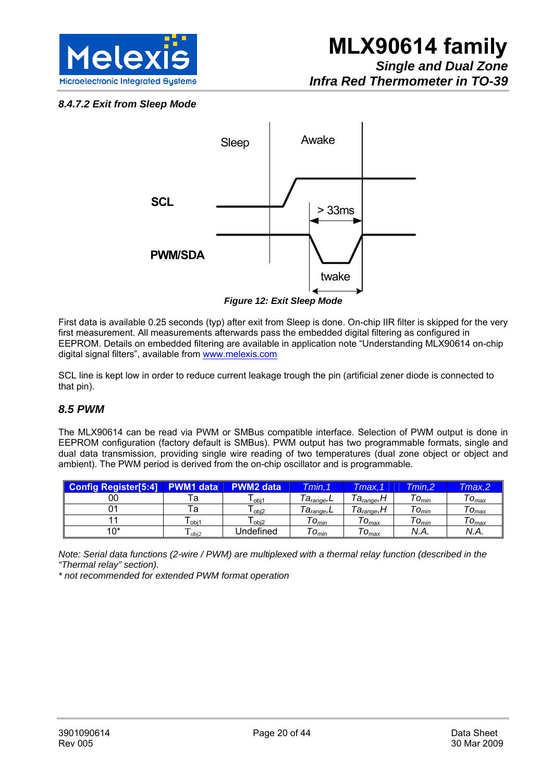

#### *8.4.7.2 Exit from Sleep Mode*



*Figure 12: Exit Sleep Mode* 

First data is available 0.25 seconds (typ) after exit from Sleep is done. On-chip IIR filter is skipped for the very first measurement. All measurements afterwards pass the embedded digital filtering as configured in EEPROM. Details on embedded filtering are available in application note "Understanding MLX90614 on-chip digital signal filters", available from www.melexis.com

SCL line is kept low in order to reduce current leakage trough the pin (artificial zener diode is connected to that pin).

#### *8.5 PWM*

The MLX90614 can be read via PWM or SMBus compatible interface. Selection of PWM output is done in EEPROM configuration (factory default is SMBus). PWM output has two programmable formats, single and dual data transmission, providing single wire reading of two temperatures (dual zone object or object and ambient). The PWM period is derived from the on-chip oscillator and is programmable.

| <b>Config Register[5:4]</b> | <b>M1 data</b>             | <b>PWM2 data</b>  | Tmin. 1                           | Tmax.1                 | Tmin.2           | Tmax.2    |
|-----------------------------|----------------------------|-------------------|-----------------------------------|------------------------|------------------|-----------|
| 00                          | Га                         | l obj1            | <i>Ta<sub>range</sub>,</i> ∟      | 'a <sub>range</sub> ,I | $\tau_{O_{min}}$ | $O_{max}$ |
|                             | Га                         | l <sub>obj2</sub> | — Ta <sub>range</sub> ,∟          | 'a <sub>range</sub> ,I | $"O_{min}$       | $O_{max}$ |
|                             | l obj1                     | l obi2            | $\tau_{O_{min}}$                  | $O_{max}$              | $\tau_{O_{min}}$ | $O_{max}$ |
| 10*                         | $\mathbf{I}_{\text{obj2}}$ | Jndefined         | $\sim$<br>$\upsilon_{\text{min}}$ | $O_{max}$              | N.A.             | N.A.      |

*Note: Serial data functions (2-wire / PWM) are multiplexed with a thermal relay function (described in the "Thermal relay" section).* 

*\* not recommended for extended PWM format operation*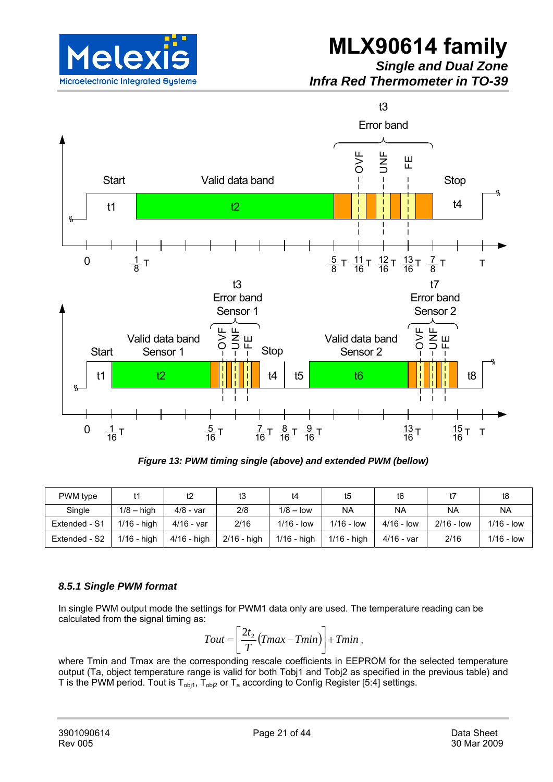

## **MLX90614 family**

*Single and Dual Zone Infra Red Thermometer in TO-39* 



*Figure 13: PWM timing single (above) and extended PWM (bellow)* 

| PWM type      |               | t2            | tЗ            | t4            | t5                  | t6           |              | t8           |
|---------------|---------------|---------------|---------------|---------------|---------------------|--------------|--------------|--------------|
| Single        | $1/8 - h$ igh | 4/8 - var     | 2/8           | $1/8 - low$   | NA                  | <b>NA</b>    | <b>NA</b>    | <b>NA</b>    |
| Extended - S1 | $1/16$ - high | $4/16 - var$  | 2/16          | $1/16 - low$  | $1/16 - \text{low}$ | $4/16 - low$ | $2/16 - low$ | $1/16 - low$ |
| Extended - S2 | $1/16$ - high | $4/16$ - high | $2/16$ - high | $1/16$ - high | $1/16$ - high       | 4/16 - var   | 2/16         | $1/16 - low$ |

#### *8.5.1 Single PWM format*

In single PWM output mode the settings for PWM1 data only are used. The temperature reading can be calculated from the signal timing as:

$$
Tout = \left[\frac{2t_2}{T}(Tmax - Tmin)\right] + Tmin ,
$$

where Tmin and Tmax are the corresponding rescale coefficients in EEPROM for the selected temperature output (Ta, object temperature range is valid for both Tobj1 and Tobj2 as specified in the previous table) and T is the PWM period. Tout is  $T_{obj1}$ ,  $T_{obj2}$  or  $T_a$  according to Config Register [5:4] settings.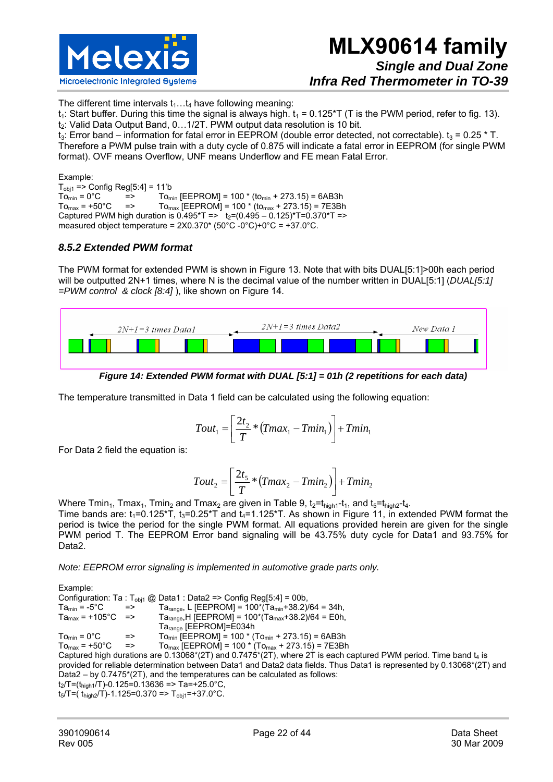

The different time intervals  $t_1...t_4$  have following meaning:

 $t_1$ : Start buffer. During this time the signal is always high.  $t_1 = 0.125 \text{°T}$  (T is the PWM period, refer to fig. 13). t<sub>2</sub>: Valid Data Output Band, 0...1/2T. PWM output data resolution is 10 bit.

t<sub>3</sub>: Error band – information for fatal error in EEPROM (double error detected, not correctable).  $t_3 = 0.25 * T$ . Therefore a PWM pulse train with a duty cycle of 0.875 will indicate a fatal error in EEPROM (for single PWM format). OVF means Overflow, UNF means Underflow and FE mean Fatal Error.

Example:  $T<sub>obj1</sub> => Config Reg[5:4] = 11'b$ <br> $To<sub>min</sub> = 0°C$  =>  $To<sub>m</sub>$  $T_{\rm Omin} = 0^{\circ}C$  =>  $T_{\rm Omin}$  [EEPROM] = 100 \* (to<sub>min</sub> + 273.15) = 6AB3h<br> $T_{\rm Omax} = +50^{\circ}C$  =>  $T_{\rm Omax}$  [EEPROM] = 100 \* (to<sub>max</sub> + 273.15) = 7E3Bh  $=$  To<sub>max</sub> [EEPROM] = 100  $*($  to<sub>max</sub> + 273.15) = 7E3Bh Captured PWM high duration is  $0.495 \text{ *T} = 5$  t<sub>2</sub>=(0.495 – 0.125) $\text{ *T} = 0.370 \text{ *T} = 5$ measured object temperature = 2X0.370\* (50°C -0°C)+0°C = +37.0°C.

#### *8.5.2 Extended PWM format*

The PWM format for extended PWM is shown in Figure 13. Note that with bits DUAL[5:1]>00h each period will be outputted 2N+1 times, where N is the decimal value of the number written in DUAL[5:1] (*DUAL[5:1] =PWM control & clock [8:4]* ), like shown on Figure 14.



*Figure 14: Extended PWM format with DUAL [5:1] = 01h (2 repetitions for each data)* 

The temperature transmitted in Data 1 field can be calculated using the following equation:

$$
Tout_1 = \left[\frac{2t_2}{T} * (Tmax_1 - Tmin_1)\right] + Tmin_1
$$

For Data 2 field the equation is:

$$
Tout_2 = \left[\frac{2t_5}{T} * (Tmax_2 - Tmin_2)\right] + Tmin_2
$$

Where Tmin<sub>1</sub>, Tmax<sub>1</sub>, Tmin<sub>2</sub> and Tmax<sub>2</sub> are given in Table 9,  $t_2=t_{\text{high1}}-t_1$ , and  $t_5=t_{\text{high2}}-t_4$ . Time bands are:  $t_1=0.125\text{*T}$ ,  $t_3=0.25\text{*T}$  and  $t_4=1.125\text{*T}$ . As shown in Figure 11, in extended PWM format the period is twice the period for the single PWM format. All equations provided herein are given for the single PWM period T. The EEPROM Error band signaling will be 43.75% duty cycle for Data1 and 93.75% for Data2.

*Note: EEPROM error signaling is implemented in automotive grade parts only.* 

Example: Configuration: Ta : T<sub>obj1</sub> @ Data1 : Data2 => Config Reg[5:4] = 00b,<br>Ta<sub>min</sub> = -5°C => Ta<sub>mine</sub> | IFFPROM1 = 100\*(Tamin<sup>+</sup>38.2)  $T_{\text{A}_{\text{min}}} = -5^{\circ} \text{C}$  => Ta<sub>range</sub>, L [EEPROM] = 100\*(Ta<sub>min</sub>+38.2)/64 = 34h,<br>Ta<sub>max</sub> = +105°C => Ta<sub>range</sub>, H [EEPROM] = 100\*(Ta<sub>max</sub>+38.2)/64 = E0h,  $Ta<sub>range</sub>, H [EEPROM] = 100*(Ta<sub>max</sub>+38.2)/64 = E0h,$ Tarange [EEPROM]=E034h  $T_{\text{Omin}} = 0^{\circ}\text{C}$  =>  $T_{\text{Omin}}$  [EEPROM] = 100  $^{*}$  (To<sub>min</sub> + 273.15) = 6AB3h  $To_{\text{max}}$  = +50°C =>  $To_{\text{max}}$  [EEPROM] = 100  $*(To_{\text{max}} + 273.15)$  = 7E3Bh Captured high durations are  $0.13068*(2T)$  and  $0.7475*(2T)$ , where 2T is each captured PWM period. Time band  $t_4$  is provided for reliable determination between Data1 and Data2 data fields. Thus Data1 is represented by 0.13068\*(2T) and Data2 – by 0.7475\*(2T), and the temperatures can be calculated as follows:  $t_2/T = (t_{\text{high1}}/T) - 0.125 = 0.13636 = > Ta = +25.0^{\circ}C$ ,  $t_5/T=(t_{\text{high2}}/T)-1.125=0.370 \Rightarrow T_{\text{obj1}}=+37.0^{\circ}\text{C}$ .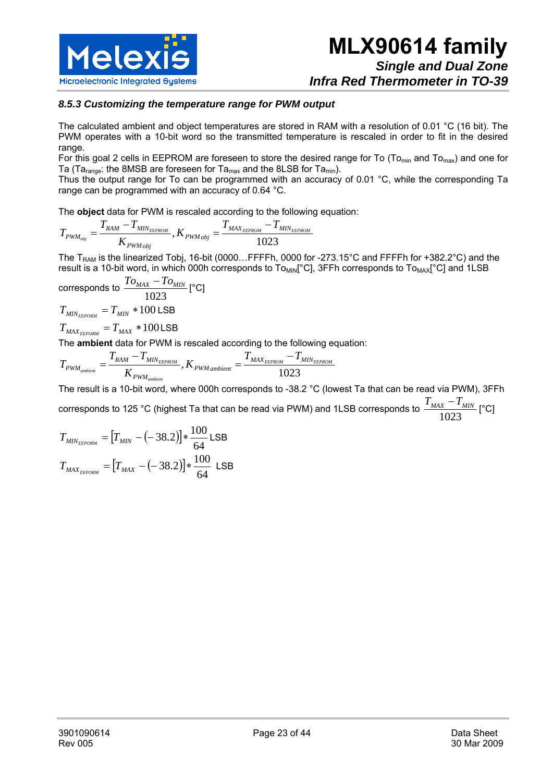

#### *8.5.3 Customizing the temperature range for PWM output*

The calculated ambient and object temperatures are stored in RAM with a resolution of 0.01 °C (16 bit). The PWM operates with a 10-bit word so the transmitted temperature is rescaled in order to fit in the desired range.

For this goal 2 cells in EEPROM are foreseen to store the desired range for To ( $To_{min}$  and  $To_{max}$ ) and one for Ta (Ta<sub>range</sub>: the 8MSB are foreseen for Ta<sub>max</sub> and the 8LSB for Ta<sub>min</sub>).

Thus the output range for To can be programmed with an accuracy of 0.01 °C, while the corresponding Ta range can be programmed with an accuracy of 0.64 °C.

The **object** data for PWM is rescaled according to the following equation:

$$
T_{\textit{PWM}_{\textit{obj}}} = \frac{T_{\textit{RAM}} - T_{\textit{MIN}_{\textit{EEPROM}}} }{K_{\textit{PWM}_{\textit{obj}}}}, K_{\textit{PWM}_{\textit{obj}}} = \frac{T_{\textit{MAX}_{\textit{EEPROM}}} - T_{\textit{MIN}_{\textit{EEPROM}}} }{1023}
$$

The T<sub>RAM</sub> is the linearized Tobj, 16-bit (0000...FFFFh, 0000 for -273.15°C and FFFFh for +382.2°C) and the result is a 10-bit word, in which 000h corresponds to To<sub>MIN</sub>[°C], 3FFh corresponds to To<sub>MAX</sub>[°C] and 1LSB

corresponds to 
$$
\frac{T_{O_{MAX}} - T_{O_{MIN}}}{1023} [\text{°C}]
$$

$$
T_{MIN_{EEDOM}} = T_{MIN} * 100 \text{LSB}
$$

 $T_{\textit{MAX}_{\textit{EEPORM}}} = T_{\textit{MAX}} * 100 \text{LSB}$ 

The **ambient** data for PWM is rescaled according to the following equation:

$$
T_{\scriptscriptstyle{PWM_{ambient}}} = \frac{T_{\scriptscriptstyle{RAM}} - T_{\scriptscriptstyle{MIN_{EEROM}}}}{K_{\scriptscriptstyle{PWM_{ambient}}}}, K_{\scriptscriptstyle{PWM_{ambient}}} = \frac{T_{\scriptscriptstyle{MAX_{EEPROM}}}- T_{\scriptscriptstyle{MIN_{EEPROM}}}}{1023}
$$

The result is a 10-bit word, where 000h corresponds to -38.2 °C (lowest Ta that can be read via PWM), 3FFh corresponds to 125 °C (highest Ta that can be read via PWM) and 1LSB corresponds to  $\frac{2\text{ MAX}}{1023}$  $T_{MAX} - T_{MIN}$  [°C]

$$
T_{MIN_{EEDORM}} = [T_{MIN} - (-38.2)] * \frac{100}{64} \text{LSB}
$$

$$
T_{MAX_{EEDORM}} = [T_{MAX} - (-38.2)] * \frac{100}{64} \text{LSB}
$$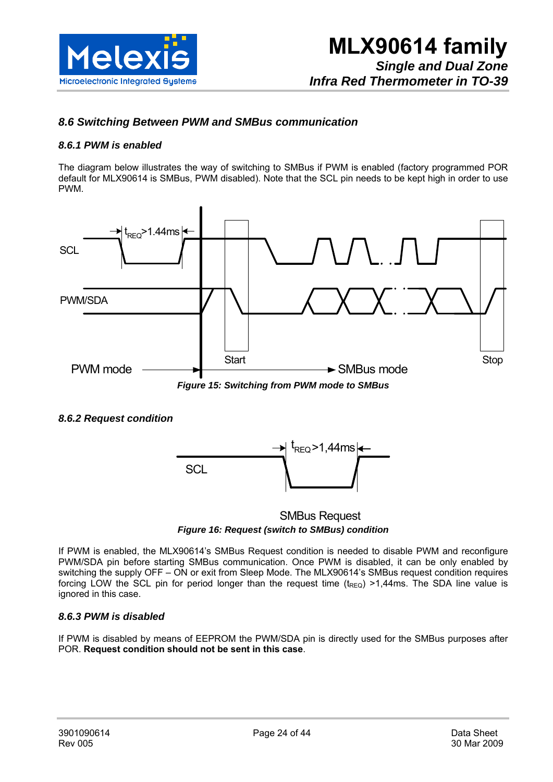

#### *8.6 Switching Between PWM and SMBus communication*

#### *8.6.1 PWM is enabled*

The diagram below illustrates the way of switching to SMBus if PWM is enabled (factory programmed POR default for MLX90614 is SMBus, PWM disabled). Note that the SCL pin needs to be kept high in order to use PWM.



#### *8.6.2 Request condition*



#### SMBus Request *Figure 16: Request (switch to SMBus) condition*

If PWM is enabled, the MLX90614's SMBus Request condition is needed to disable PWM and reconfigure PWM/SDA pin before starting SMBus communication. Once PWM is disabled, it can be only enabled by switching the supply OFF – ON or exit from Sleep Mode. The MLX90614's SMBus request condition requires forcing LOW the SCL pin for period longer than the request time  $(t_{\text{REQ}}) > 1,44$ ms. The SDA line value is ignored in this case.

#### *8.6.3 PWM is disabled*

If PWM is disabled by means of EEPROM the PWM/SDA pin is directly used for the SMBus purposes after POR. **Request condition should not be sent in this case**.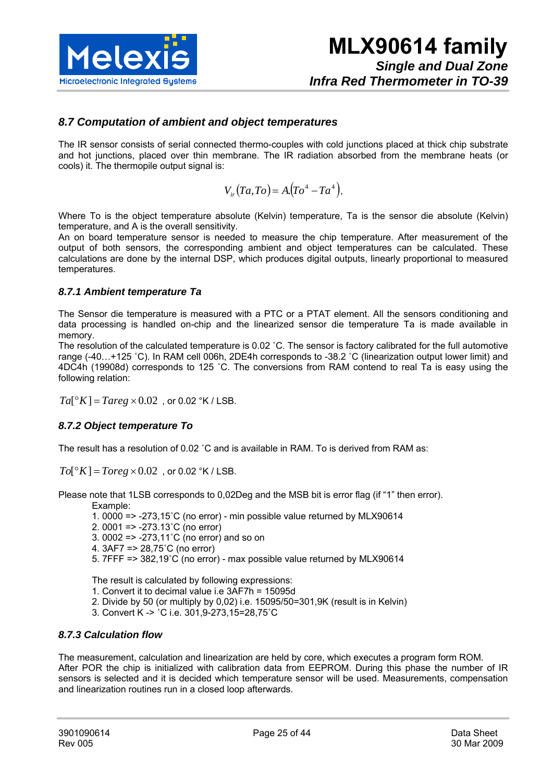

#### *8.7 Computation of ambient and object temperatures*

The IR sensor consists of serial connected thermo-couples with cold junctions placed at thick chip substrate and hot junctions, placed over thin membrane. The IR radiation absorbed from the membrane heats (or cools) it. The thermopile output signal is:

$$
V_{ir}(Ta, To) = A.(To4 - Ta4),
$$

Where To is the object temperature absolute (Kelvin) temperature, Ta is the sensor die absolute (Kelvin) temperature, and A is the overall sensitivity.

An on board temperature sensor is needed to measure the chip temperature. After measurement of the output of both sensors, the corresponding ambient and object temperatures can be calculated. These calculations are done by the internal DSP, which produces digital outputs, linearly proportional to measured temperatures.

#### *8.7.1 Ambient temperature Ta*

The Sensor die temperature is measured with a PTC or a PTAT element. All the sensors conditioning and data processing is handled on-chip and the linearized sensor die temperature Ta is made available in memory.

The resolution of the calculated temperature is 0.02 ˚C. The sensor is factory calibrated for the full automotive range (-40…+125 ˚C). In RAM cell 006h, 2DE4h corresponds to -38.2 ˚C (linearization output lower limit) and 4DC4h (19908d) corresponds to 125 ˚C. The conversions from RAM contend to real Ta is easy using the following relation:

 $Ta[^{\circ}K] = Tareg \times 0.02$ , or 0.02  $^{\circ}K$  / LSB.

#### *8.7.2 Object temperature To*

The result has a resolution of 0.02 ˚C and is available in RAM. To is derived from RAM as:

 $To[^{\circ}K] = Toreg \times 0.02$ , or 0.02  $^{\circ}K$  / LSB.

Please note that 1LSB corresponds to 0,02Deg and the MSB bit is error flag (if "1" then error).

Example:

- 1. 0000 => -273,15˚C (no error) min possible value returned by MLX90614
- 2. 0001 => -273.13˚C (no error)
- 3. 0002 => -273,11˚C (no error) and so on
- 4. 3AF7 => 28,75˚C (no error)
- 5. 7FFF => 382,19˚C (no error) max possible value returned by MLX90614

The result is calculated by following expressions:

- 1. Convert it to decimal value i.e 3AF7h = 15095d
- 2. Divide by 50 (or multiply by 0,02) i.e. 15095/50=301,9K (result is in Kelvin)
- 3. Convert K -> ˚C i.e. 301,9-273,15=28,75˚C

#### *8.7.3 Calculation flow*

The measurement, calculation and linearization are held by core, which executes a program form ROM. After POR the chip is initialized with calibration data from EEPROM. During this phase the number of IR sensors is selected and it is decided which temperature sensor will be used. Measurements, compensation and linearization routines run in a closed loop afterwards.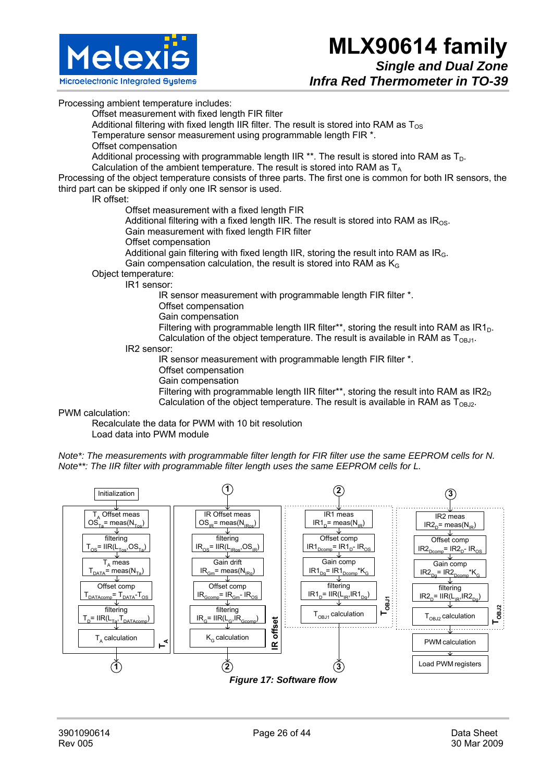

Processing ambient temperature includes:

Offset measurement with fixed length FIR filter

Additional filtering with fixed length IIR filter. The result is stored into RAM as  $T_{OS}$ 

Temperature sensor measurement using programmable length FIR \*.

Offset compensation

Additional processing with programmable length IIR \*\*. The result is stored into RAM as  $T_D$ .

Calculation of the ambient temperature. The result is stored into RAM as  $T_A$ 

Processing of the object temperature consists of three parts. The first one is common for both IR sensors, the third part can be skipped if only one IR sensor is used.

IR offset:

Offset measurement with a fixed length FIR

Additional filtering with a fixed length IIR. The result is stored into RAM as  $IR<sub>OS</sub>$ .

Gain measurement with fixed length FIR filter

Offset compensation

Additional gain filtering with fixed length IIR, storing the result into RAM as  $IR<sub>G</sub>$ . Gain compensation calculation, the result is stored into RAM as  $K_G$ 

Object temperature:

IR1 sensor:

IR sensor measurement with programmable length FIR filter \*.

Offset compensation

Gain compensation

Filtering with programmable length IIR filter\*\*, storing the result into RAM as  $IR1<sub>D</sub>$ . Calculation of the object temperature. The result is available in RAM as  $T_{OR,11}$ .

IR2 sensor:

IR sensor measurement with programmable length FIR filter \*.

- Offset compensation
- Gain compensation

Filtering with programmable length IIR filter\*\*, storing the result into RAM as  $IR2<sub>D</sub>$ Calculation of the object temperature. The result is available in RAM as  $T_{ORD}$ .

PWM calculation:

Recalculate the data for PWM with 10 bit resolution

Load data into PWM module

*Note\*: The measurements with programmable filter length for FIR filter use the same EEPROM cells for N. Note\*\*: The IIR filter with programmable filter length uses the same EEPROM cells for L.* 

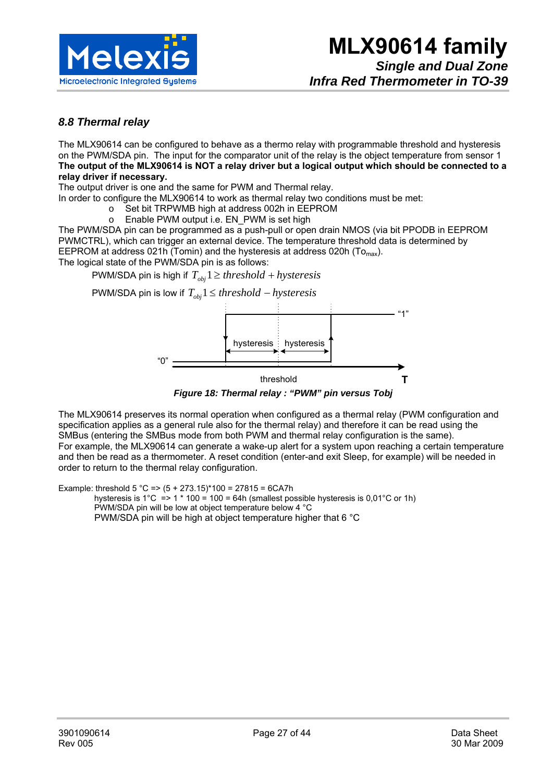

#### *8.8 Thermal relay*

The MLX90614 can be configured to behave as a thermo relay with programmable threshold and hysteresis on the PWM/SDA pin. The input for the comparator unit of the relay is the object temperature from sensor 1 **The output of the MLX90614 is NOT a relay driver but a logical output which should be connected to a relay driver if necessary.** 

The output driver is one and the same for PWM and Thermal relay.

In order to configure the MLX90614 to work as thermal relay two conditions must be met:

- o Set bit TRPWMB high at address 002h in EEPROM
	- o Enable PWM output i.e. EN\_PWM is set high

The PWM/SDA pin can be programmed as a push-pull or open drain NMOS (via bit PPODB in EEPROM PWMCTRL), which can trigger an external device. The temperature threshold data is determined by EEPROM at address 021h (Tomin) and the hysteresis at address 020h (To<sub>max</sub>).

The logical state of the PWM/SDA pin is as follows:

PWM/SDA pin is high if  $T_{obj}$   $1 \geq threshold + hysteresis$ 

PWM/SDA pin is low if  $T_{obj}$ 1 ≤ *threshold* – *hysteresis* 



*Figure 18: Thermal relay : "PWM" pin versus Tobj* 

The MLX90614 preserves its normal operation when configured as a thermal relay (PWM configuration and specification applies as a general rule also for the thermal relay) and therefore it can be read using the SMBus (entering the SMBus mode from both PWM and thermal relay configuration is the same). For example, the MLX90614 can generate a wake-up alert for a system upon reaching a certain temperature and then be read as a thermometer. A reset condition (enter-and exit Sleep, for example) will be needed in order to return to the thermal relay configuration.

Example: threshold  $5^{\circ}$ C =>  $(5 + 273.15)^*100 = 27815 = 6CATh$ 

hysteresis is 1°C => 1  $*$  100 = 100 = 64h (smallest possible hysteresis is 0,01°C or 1h) PWM/SDA pin will be low at object temperature below 4 °C PWM/SDA pin will be high at object temperature higher that 6 °C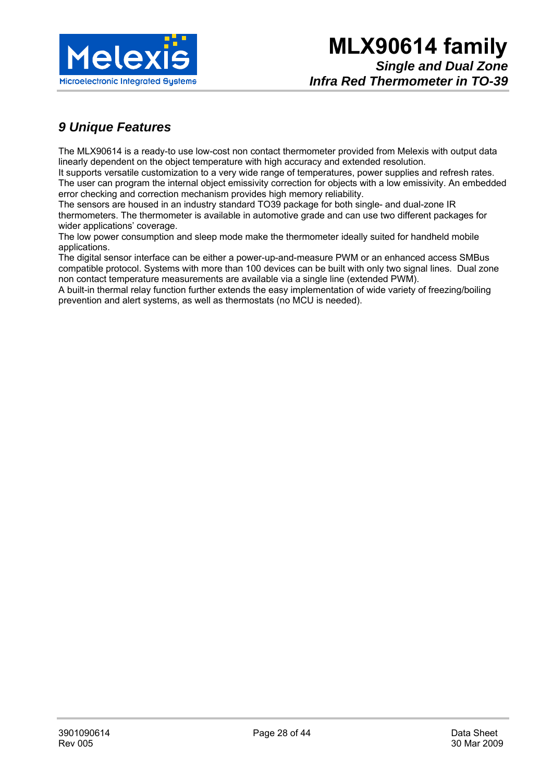

## *9 Unique Features*

The MLX90614 is a ready-to use low-cost non contact thermometer provided from Melexis with output data linearly dependent on the object temperature with high accuracy and extended resolution.

It supports versatile customization to a very wide range of temperatures, power supplies and refresh rates. The user can program the internal object emissivity correction for objects with a low emissivity. An embedded error checking and correction mechanism provides high memory reliability.

The sensors are housed in an industry standard TO39 package for both single- and dual-zone IR thermometers. The thermometer is available in automotive grade and can use two different packages for wider applications' coverage.

The low power consumption and sleep mode make the thermometer ideally suited for handheld mobile applications.

The digital sensor interface can be either a power-up-and-measure PWM or an enhanced access SMBus compatible protocol. Systems with more than 100 devices can be built with only two signal lines. Dual zone non contact temperature measurements are available via a single line (extended PWM).

A built-in thermal relay function further extends the easy implementation of wide variety of freezing/boiling prevention and alert systems, as well as thermostats (no MCU is needed).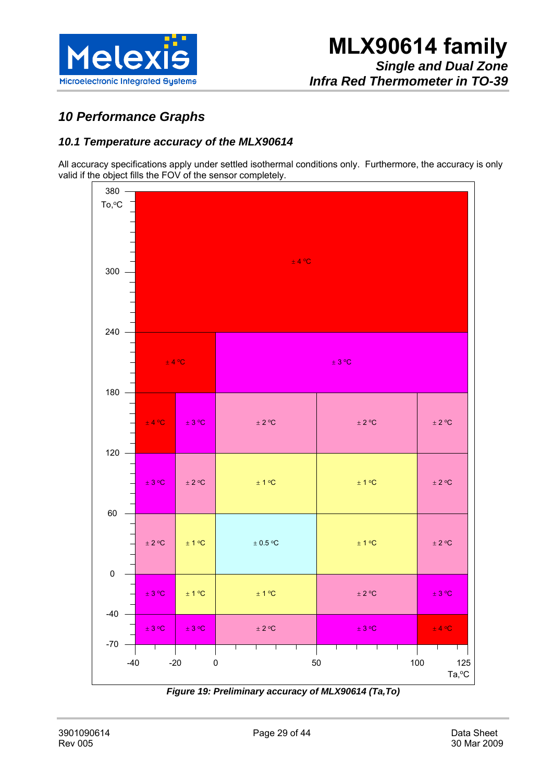

## *10 Performance Graphs*

#### *10.1 Temperature accuracy of the MLX90614*

All accuracy specifications apply under settled isothermal conditions only. Furthermore, the accuracy is only valid if the object fills the FOV of the sensor completely.



*Figure 19: Preliminary accuracy of MLX90614 (Ta,To)*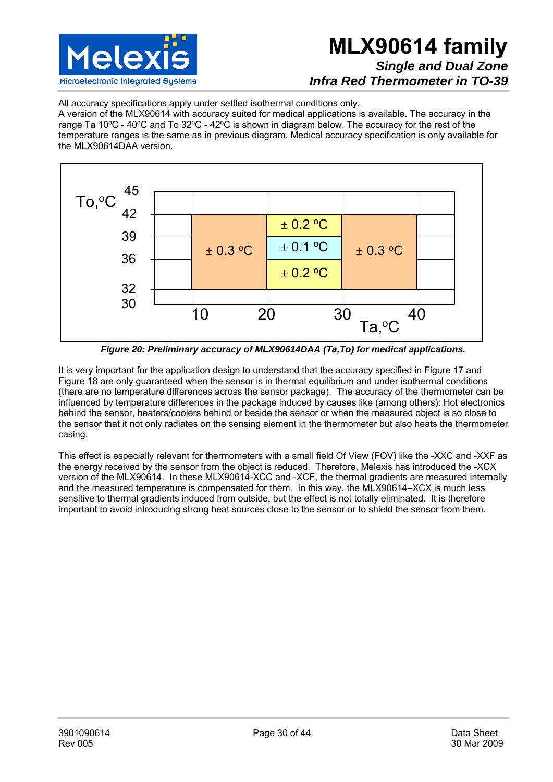

## **MLX90614 family**  *Single and Dual Zone Infra Red Thermometer in TO-39*

All accuracy specifications apply under settled isothermal conditions only.

A version of the MLX90614 with accuracy suited for medical applications is available. The accuracy in the range Ta 10ºC - 40ºC and To 32ºC - 42ºC is shown in diagram below. The accuracy for the rest of the temperature ranges is the same as in previous diagram. Medical accuracy specification is only available for the MLX90614DAA version.



*Figure 20: Preliminary accuracy of MLX90614DAA (Ta,To) for medical applications.* 

It is very important for the application design to understand that the accuracy specified in Figure 17 and Figure 18 are only guaranteed when the sensor is in thermal equilibrium and under isothermal conditions (there are no temperature differences across the sensor package). The accuracy of the thermometer can be influenced by temperature differences in the package induced by causes like (among others): Hot electronics behind the sensor, heaters/coolers behind or beside the sensor or when the measured object is so close to the sensor that it not only radiates on the sensing element in the thermometer but also heats the thermometer casing.

This effect is especially relevant for thermometers with a small field Of View (FOV) like the -XXC and -XXF as the energy received by the sensor from the object is reduced. Therefore, Melexis has introduced the -XCX version of the MLX90614. In these MLX90614-XCC and -XCF, the thermal gradients are measured internally and the measured temperature is compensated for them. In this way, the MLX90614–XCX is much less sensitive to thermal gradients induced from outside, but the effect is not totally eliminated. It is therefore important to avoid introducing strong heat sources close to the sensor or to shield the sensor from them.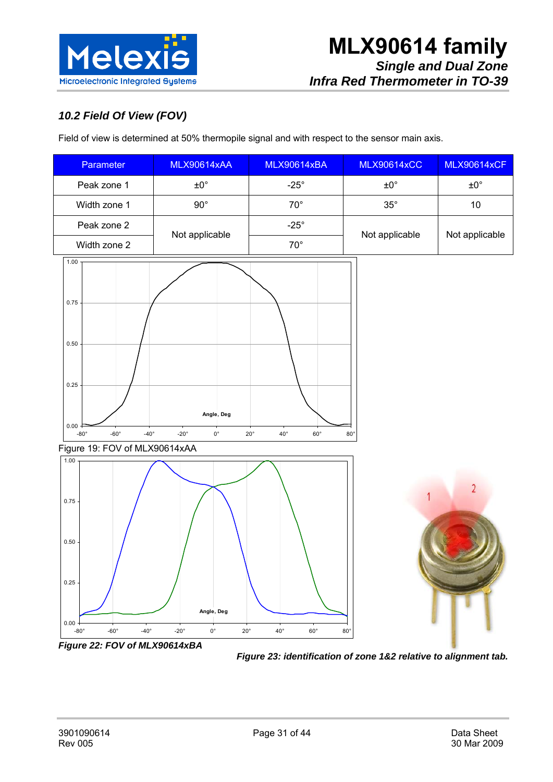

## *10.2 Field Of View (FOV)*

Field of view is determined at 50% thermopile signal and with respect to the sensor main axis.





*Figure 23: identification of zone 1&2 relative to alignment tab.*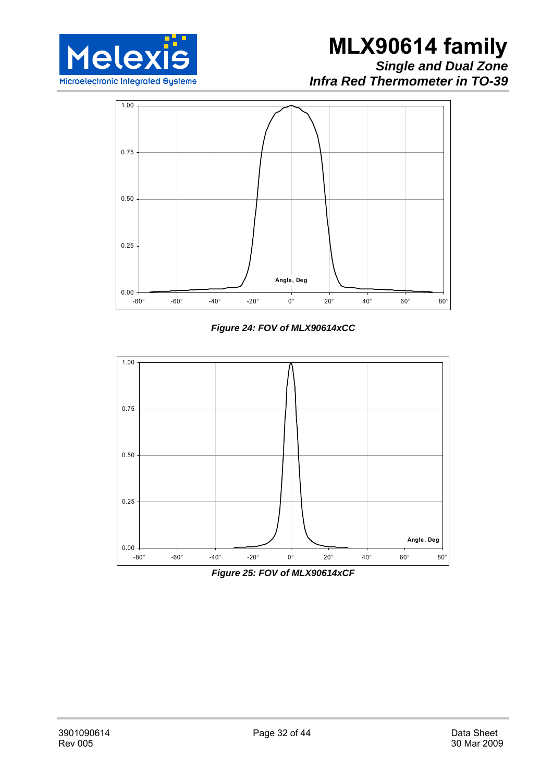

*Infra Red Thermometer in TO-39* 



*Figure 24: FOV of MLX90614xCC* 



*Figure 25: FOV of MLX90614xCF*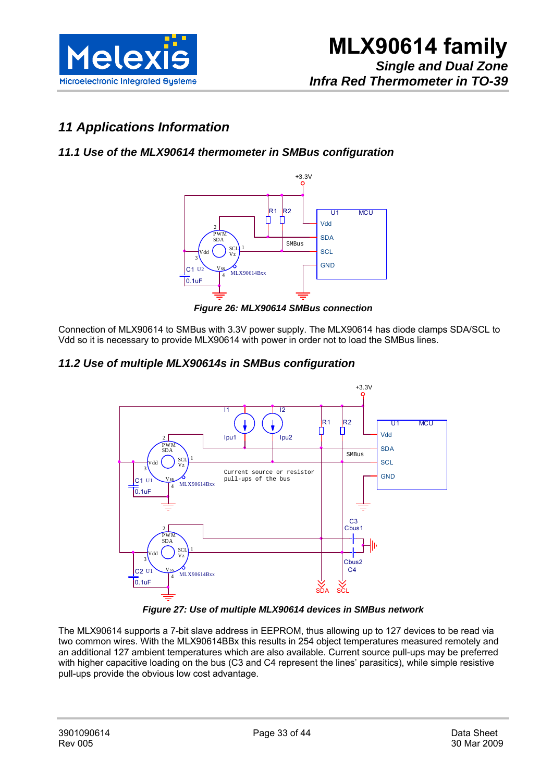

## *11 Applications Information*

#### *11.1 Use of the MLX90614 thermometer in SMBus configuration*



*Figure 26: MLX90614 SMBus connection* 

Connection of MLX90614 to SMBus with 3.3V power supply. The MLX90614 has diode clamps SDA/SCL to Vdd so it is necessary to provide MLX90614 with power in order not to load the SMBus lines.

#### *11.2 Use of multiple MLX90614s in SMBus configuration*



*Figure 27: Use of multiple MLX90614 devices in SMBus network* 

The MLX90614 supports a 7-bit slave address in EEPROM, thus allowing up to 127 devices to be read via two common wires. With the MLX90614BBx this results in 254 object temperatures measured remotely and an additional 127 ambient temperatures which are also available. Current source pull-ups may be preferred with higher capacitive loading on the bus (C3 and C4 represent the lines' parasitics), while simple resistive pull-ups provide the obvious low cost advantage.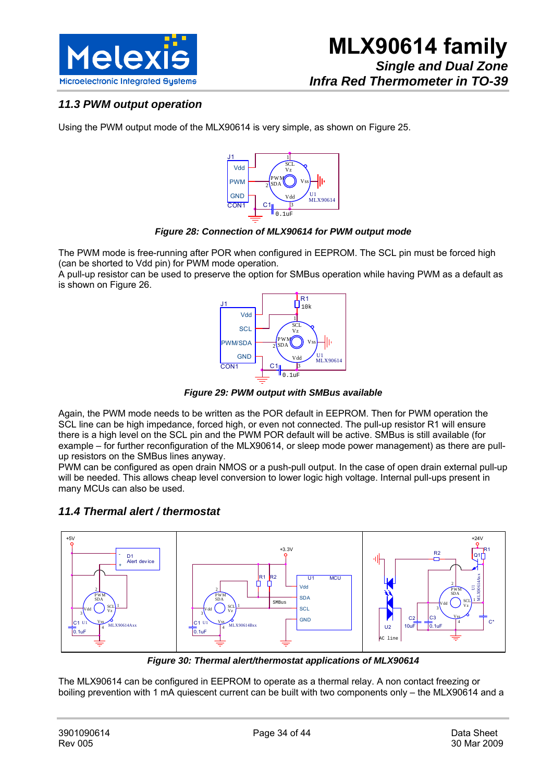

#### *11.3 PWM output operation*

Using the PWM output mode of the MLX90614 is very simple, as shown on Figure 25.



*Figure 28: Connection of MLX90614 for PWM output mode* 

The PWM mode is free-running after POR when configured in EEPROM. The SCL pin must be forced high (can be shorted to Vdd pin) for PWM mode operation.

A pull-up resistor can be used to preserve the option for SMBus operation while having PWM as a default as is shown on Figure 26.



*Figure 29: PWM output with SMBus available* 

Again, the PWM mode needs to be written as the POR default in EEPROM. Then for PWM operation the SCL line can be high impedance, forced high, or even not connected. The pull-up resistor R1 will ensure there is a high level on the SCL pin and the PWM POR default will be active. SMBus is still available (for example – for further reconfiguration of the MLX90614, or sleep mode power management) as there are pullup resistors on the SMBus lines anyway.

PWM can be configured as open drain NMOS or a push-pull output. In the case of open drain external pull-up will be needed. This allows cheap level conversion to lower logic high voltage. Internal pull-ups present in many MCUs can also be used.

#### *11.4 Thermal alert / thermostat*



*Figure 30: Thermal alert/thermostat applications of MLX90614* 

The MLX90614 can be configured in EEPROM to operate as a thermal relay. A non contact freezing or boiling prevention with 1 mA quiescent current can be built with two components only – the MLX90614 and a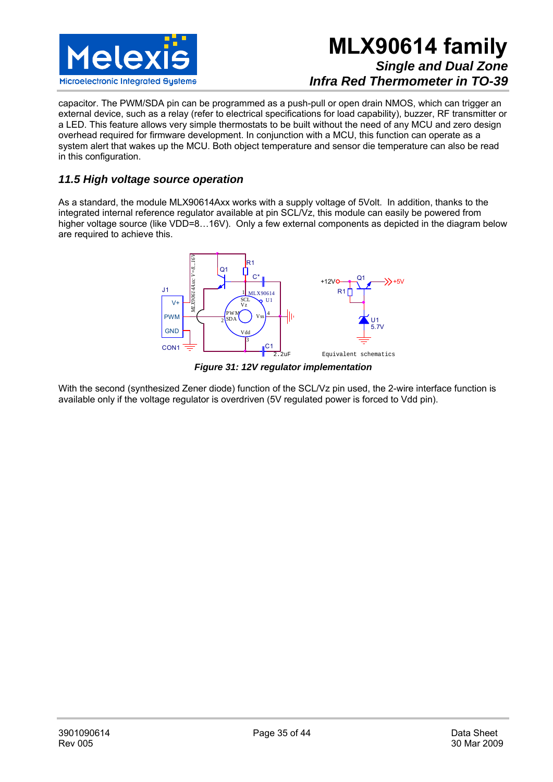

capacitor. The PWM/SDA pin can be programmed as a push-pull or open drain NMOS, which can trigger an external device, such as a relay (refer to electrical specifications for load capability), buzzer, RF transmitter or a LED. This feature allows very simple thermostats to be built without the need of any MCU and zero design overhead required for firmware development. In conjunction with a MCU, this function can operate as a system alert that wakes up the MCU. Both object temperature and sensor die temperature can also be read in this configuration.

#### *11.5 High voltage source operation*

As a standard, the module MLX90614Axx works with a supply voltage of 5Volt. In addition, thanks to the integrated internal reference regulator available at pin SCL/Vz, this module can easily be powered from higher voltage source (like VDD=8...16V). Only a few external components as depicted in the diagram below are required to achieve this.



*Figure 31: 12V regulator implementation* 

With the second (synthesized Zener diode) function of the SCL/Vz pin used, the 2-wire interface function is available only if the voltage regulator is overdriven (5V regulated power is forced to Vdd pin).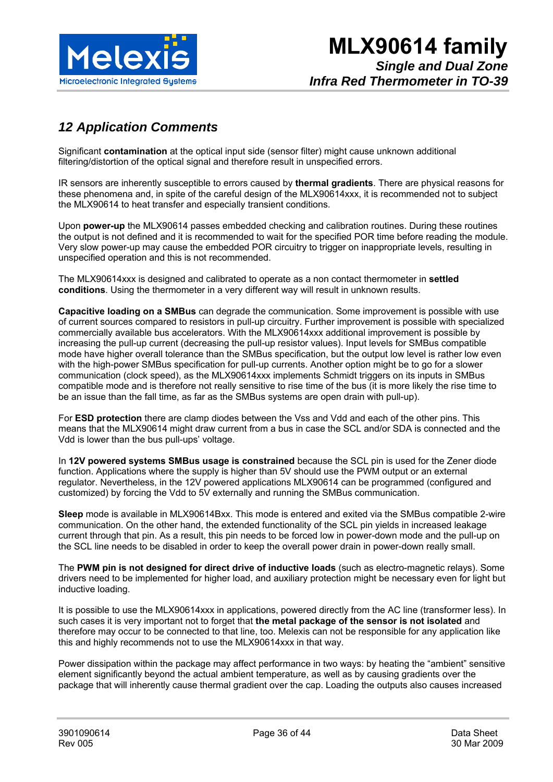

## *12 Application Comments*

Significant **contamination** at the optical input side (sensor filter) might cause unknown additional filtering/distortion of the optical signal and therefore result in unspecified errors.

IR sensors are inherently susceptible to errors caused by **thermal gradients**. There are physical reasons for these phenomena and, in spite of the careful design of the MLX90614xxx, it is recommended not to subject the MLX90614 to heat transfer and especially transient conditions.

Upon **power-up** the MLX90614 passes embedded checking and calibration routines. During these routines the output is not defined and it is recommended to wait for the specified POR time before reading the module. Very slow power-up may cause the embedded POR circuitry to trigger on inappropriate levels, resulting in unspecified operation and this is not recommended.

The MLX90614xxx is designed and calibrated to operate as a non contact thermometer in **settled conditions**. Using the thermometer in a very different way will result in unknown results.

**Capacitive loading on a SMBus** can degrade the communication. Some improvement is possible with use of current sources compared to resistors in pull-up circuitry. Further improvement is possible with specialized commercially available bus accelerators. With the MLX90614xxx additional improvement is possible by increasing the pull-up current (decreasing the pull-up resistor values). Input levels for SMBus compatible mode have higher overall tolerance than the SMBus specification, but the output low level is rather low even with the high-power SMBus specification for pull-up currents. Another option might be to go for a slower communication (clock speed), as the MLX90614xxx implements Schmidt triggers on its inputs in SMBus compatible mode and is therefore not really sensitive to rise time of the bus (it is more likely the rise time to be an issue than the fall time, as far as the SMBus systems are open drain with pull-up).

For **ESD protection** there are clamp diodes between the Vss and Vdd and each of the other pins. This means that the MLX90614 might draw current from a bus in case the SCL and/or SDA is connected and the Vdd is lower than the bus pull-ups' voltage.

In **12V powered systems SMBus usage is constrained** because the SCL pin is used for the Zener diode function. Applications where the supply is higher than 5V should use the PWM output or an external regulator. Nevertheless, in the 12V powered applications MLX90614 can be programmed (configured and customized) by forcing the Vdd to 5V externally and running the SMBus communication.

**Sleep** mode is available in MLX90614Bxx. This mode is entered and exited via the SMBus compatible 2-wire communication. On the other hand, the extended functionality of the SCL pin yields in increased leakage current through that pin. As a result, this pin needs to be forced low in power-down mode and the pull-up on the SCL line needs to be disabled in order to keep the overall power drain in power-down really small.

The **PWM pin is not designed for direct drive of inductive loads** (such as electro-magnetic relays). Some drivers need to be implemented for higher load, and auxiliary protection might be necessary even for light but inductive loading.

It is possible to use the MLX90614xxx in applications, powered directly from the AC line (transformer less). In such cases it is very important not to forget that **the metal package of the sensor is not isolated** and therefore may occur to be connected to that line, too. Melexis can not be responsible for any application like this and highly recommends not to use the MLX90614xxx in that way.

Power dissipation within the package may affect performance in two ways: by heating the "ambient" sensitive element significantly beyond the actual ambient temperature, as well as by causing gradients over the package that will inherently cause thermal gradient over the cap. Loading the outputs also causes increased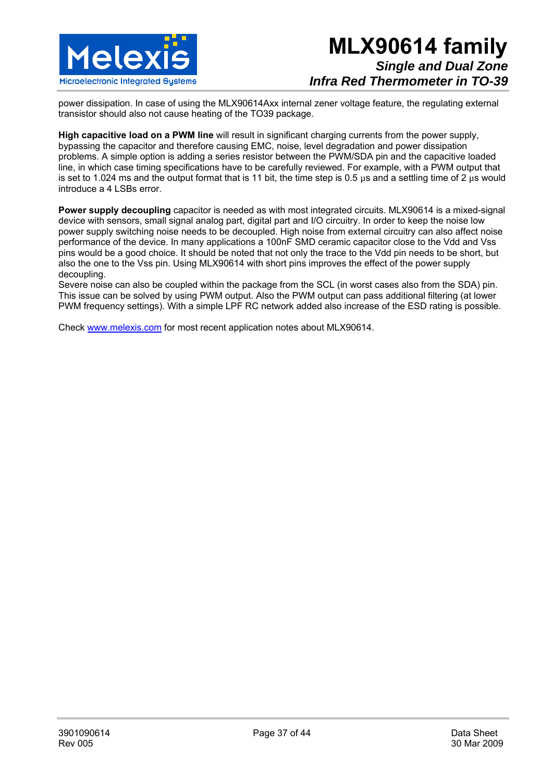

power dissipation. In case of using the MLX90614Axx internal zener voltage feature, the regulating external transistor should also not cause heating of the TO39 package.

**High capacitive load on a PWM line** will result in significant charging currents from the power supply, bypassing the capacitor and therefore causing EMC, noise, level degradation and power dissipation problems. A simple option is adding a series resistor between the PWM/SDA pin and the capacitive loaded line, in which case timing specifications have to be carefully reviewed. For example, with a PWM output that is set to 1.024 ms and the output format that is 11 bit, the time step is 0.5  $\mu$ s and a settling time of 2  $\mu$ s would introduce a 4 LSBs error.

**Power supply decoupling** capacitor is needed as with most integrated circuits. MLX90614 is a mixed-signal device with sensors, small signal analog part, digital part and I/O circuitry. In order to keep the noise low power supply switching noise needs to be decoupled. High noise from external circuitry can also affect noise performance of the device. In many applications a 100nF SMD ceramic capacitor close to the Vdd and Vss pins would be a good choice. It should be noted that not only the trace to the Vdd pin needs to be short, but also the one to the Vss pin. Using MLX90614 with short pins improves the effect of the power supply decoupling.

Severe noise can also be coupled within the package from the SCL (in worst cases also from the SDA) pin. This issue can be solved by using PWM output. Also the PWM output can pass additional filtering (at lower PWM frequency settings). With a simple LPF RC network added also increase of the ESD rating is possible.

Check www.melexis.com for most recent application notes about MLX90614.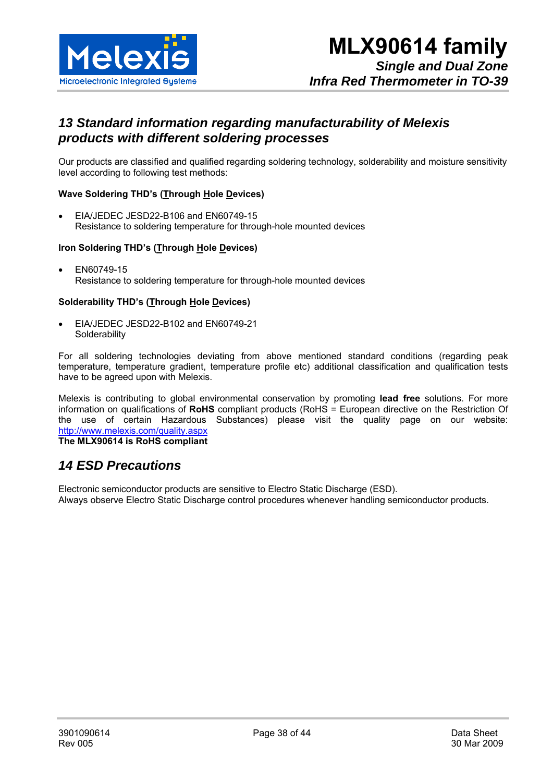

## *13 Standard information regarding manufacturability of Melexis products with different soldering processes*

Our products are classified and qualified regarding soldering technology, solderability and moisture sensitivity level according to following test methods:

#### **Wave Soldering THD's (Through Hole Devices)**

• EIA/JEDEC JESD22-B106 and EN60749-15 Resistance to soldering temperature for through-hole mounted devices

#### **Iron Soldering THD's (Through Hole Devices)**

• EN60749-15 Resistance to soldering temperature for through-hole mounted devices

#### **Solderability THD's (Through Hole Devices)**

• EIA/JEDEC JESD22-B102 and EN60749-21 **Solderability** 

For all soldering technologies deviating from above mentioned standard conditions (regarding peak temperature, temperature gradient, temperature profile etc) additional classification and qualification tests have to be agreed upon with Melexis.

Melexis is contributing to global environmental conservation by promoting **lead free** solutions. For more information on qualifications of **RoHS** compliant products (RoHS = European directive on the Restriction Of the use of certain Hazardous Substances) please visit the quality page on our website: http://www.melexis.com/quality.aspx

**The MLX90614 is RoHS compliant** 

### *14 ESD Precautions*

Electronic semiconductor products are sensitive to Electro Static Discharge (ESD). Always observe Electro Static Discharge control procedures whenever handling semiconductor products.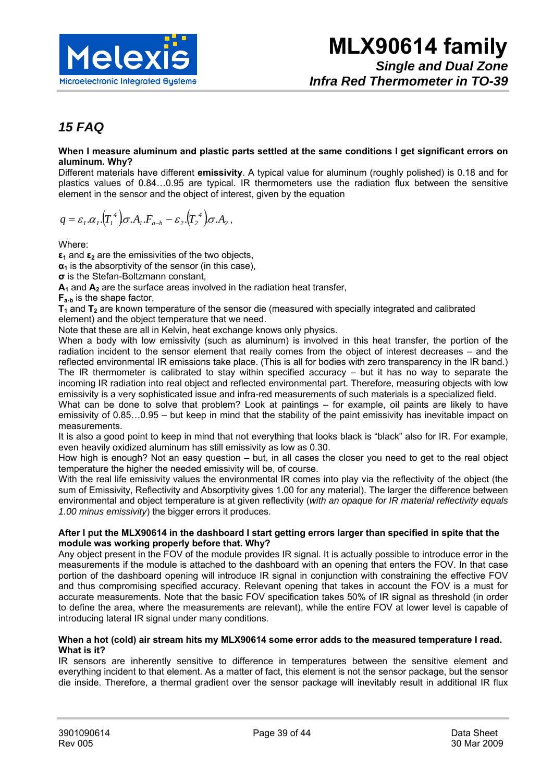

## *15 FAQ*

#### **When I measure aluminum and plastic parts settled at the same conditions I get significant errors on aluminum. Why?**

Different materials have different **emissivity**. A typical value for aluminum (roughly polished) is 0.18 and for plastics values of 0.84…0.95 are typical. IR thermometers use the radiation flux between the sensitive element in the sensor and the object of interest, given by the equation

$$
q = \varepsilon_1 \cdot \alpha_1 \cdot (T_1^4) \sigma \cdot A_1 \cdot F_{a-b} - \varepsilon_2 \cdot (T_2^4) \sigma \cdot A_2,
$$

Where:

**ε1** and **ε2** are the emissivities of the two objects,

**α1** is the absorptivity of the sensor (in this case),

**σ** is the Stefan-Boltzmann constant,

 $A_1$  and  $A_2$  are the surface areas involved in the radiation heat transfer,

**Fa-b** is the shape factor,

**T1** and **T2** are known temperature of the sensor die (measured with specially integrated and calibrated element) and the object temperature that we need.

Note that these are all in Kelvin, heat exchange knows only physics.

When a body with low emissivity (such as aluminum) is involved in this heat transfer, the portion of the radiation incident to the sensor element that really comes from the object of interest decreases – and the reflected environmental IR emissions take place. (This is all for bodies with zero transparency in the IR band.) The IR thermometer is calibrated to stay within specified accuracy – but it has no way to separate the incoming IR radiation into real object and reflected environmental part. Therefore, measuring objects with low emissivity is a very sophisticated issue and infra-red measurements of such materials is a specialized field.

What can be done to solve that problem? Look at paintings – for example, oil paints are likely to have emissivity of 0.85…0.95 – but keep in mind that the stability of the paint emissivity has inevitable impact on measurements.

It is also a good point to keep in mind that not everything that looks black is "black" also for IR. For example, even heavily oxidized aluminum has still emissivity as low as 0.30.

How high is enough? Not an easy question – but, in all cases the closer you need to get to the real object temperature the higher the needed emissivity will be, of course.

With the real life emissivity values the environmental IR comes into play via the reflectivity of the object (the sum of Emissivity, Reflectivity and Absorptivity gives 1.00 for any material). The larger the difference between environmental and object temperature is at given reflectivity (*with an opaque for IR material reflectivity equals 1.00 minus emissivity*) the bigger errors it produces.

#### **After I put the MLX90614 in the dashboard I start getting errors larger than specified in spite that the module was working properly before that. Why?**

Any object present in the FOV of the module provides IR signal. It is actually possible to introduce error in the measurements if the module is attached to the dashboard with an opening that enters the FOV. In that case portion of the dashboard opening will introduce IR signal in conjunction with constraining the effective FOV and thus compromising specified accuracy. Relevant opening that takes in account the FOV is a must for accurate measurements. Note that the basic FOV specification takes 50% of IR signal as threshold (in order to define the area, where the measurements are relevant), while the entire FOV at lower level is capable of introducing lateral IR signal under many conditions.

#### **When a hot (cold) air stream hits my MLX90614 some error adds to the measured temperature I read. What is it?**

IR sensors are inherently sensitive to difference in temperatures between the sensitive element and everything incident to that element. As a matter of fact, this element is not the sensor package, but the sensor die inside. Therefore, a thermal gradient over the sensor package will inevitably result in additional IR flux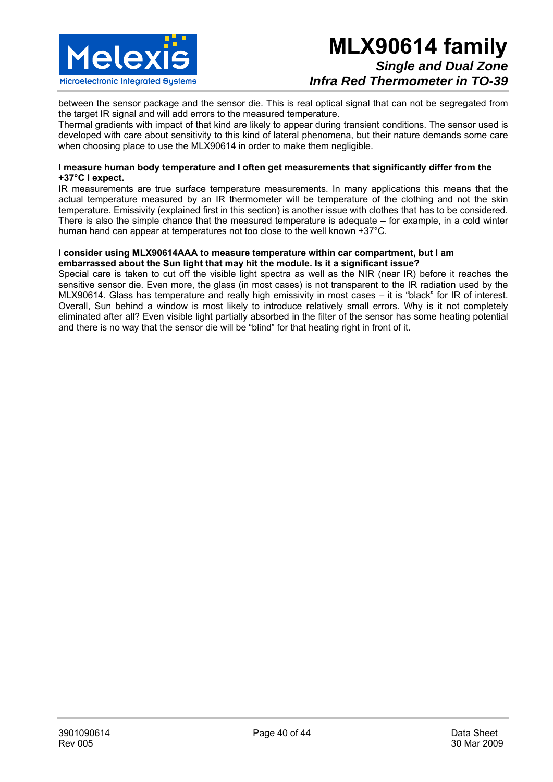

between the sensor package and the sensor die. This is real optical signal that can not be segregated from the target IR signal and will add errors to the measured temperature.

Thermal gradients with impact of that kind are likely to appear during transient conditions. The sensor used is developed with care about sensitivity to this kind of lateral phenomena, but their nature demands some care when choosing place to use the MLX90614 in order to make them negligible.

#### **I measure human body temperature and I often get measurements that significantly differ from the +37°C I expect.**

IR measurements are true surface temperature measurements. In many applications this means that the actual temperature measured by an IR thermometer will be temperature of the clothing and not the skin temperature. Emissivity (explained first in this section) is another issue with clothes that has to be considered. There is also the simple chance that the measured temperature is adequate – for example, in a cold winter human hand can appear at temperatures not too close to the well known +37°C.

#### **I consider using MLX90614AAA to measure temperature within car compartment, but I am embarrassed about the Sun light that may hit the module. Is it a significant issue?**

Special care is taken to cut off the visible light spectra as well as the NIR (near IR) before it reaches the sensitive sensor die. Even more, the glass (in most cases) is not transparent to the IR radiation used by the MLX90614. Glass has temperature and really high emissivity in most cases – it is "black" for IR of interest. Overall, Sun behind a window is most likely to introduce relatively small errors. Why is it not completely eliminated after all? Even visible light partially absorbed in the filter of the sensor has some heating potential and there is no way that the sensor die will be "blind" for that heating right in front of it.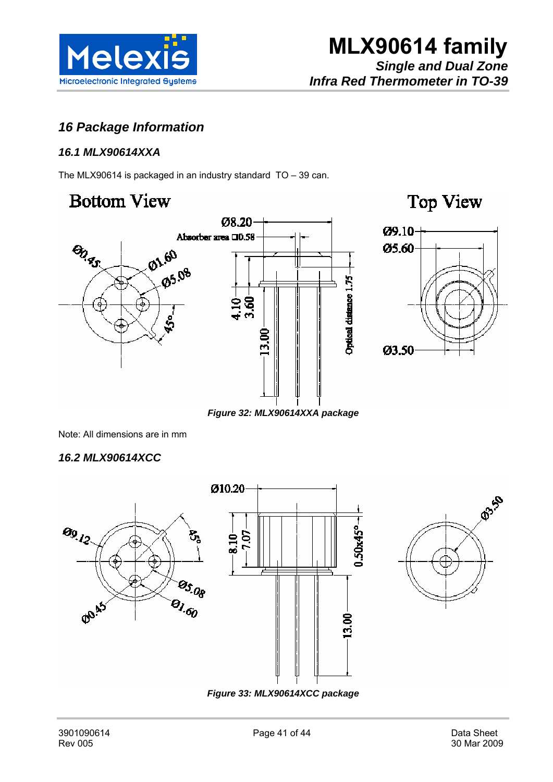

## *16 Package Information*

#### *16.1 MLX90614XXA*

The MLX90614 is packaged in an industry standard TO – 39 can.

## **Bottom View**

**BIRS** 







*Figure 32: MLX90614XXA package* 

Note: All dimensions are in mm

#### *16.2 MLX90614XCC*



*Figure 33: MLX90614XCC package*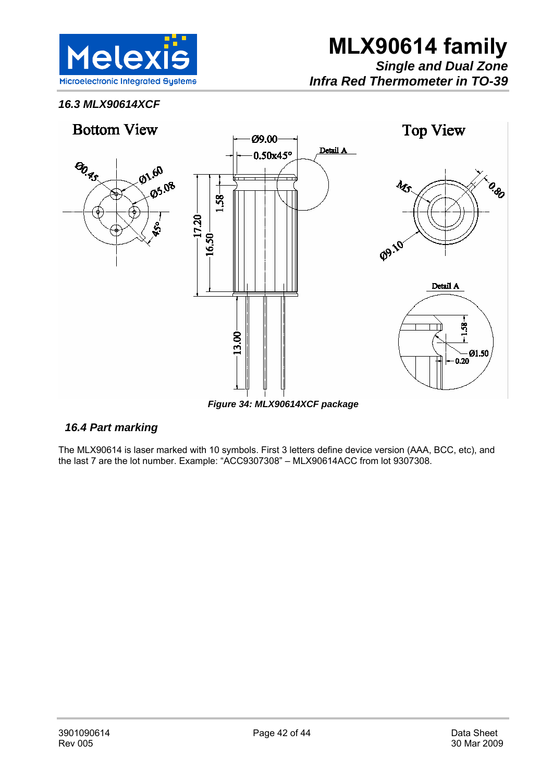

### *16.3 MLX90614XCF*



*Figure 34: MLX90614XCF package* 

#### *16.4 Part marking*

The MLX90614 is laser marked with 10 symbols. First 3 letters define device version (AAA, BCC, etc), and the last 7 are the lot number. Example: "ACC9307308" – MLX90614ACC from lot 9307308.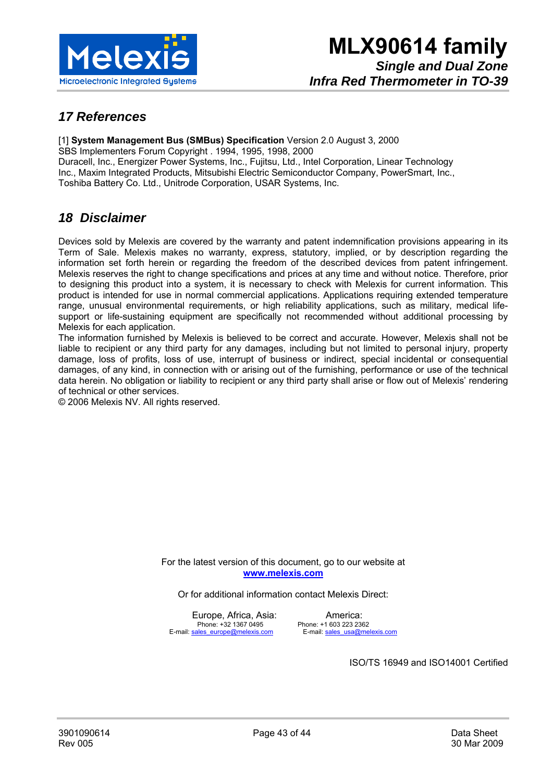

## *17 References*

[1] **System Management Bus (SMBus) Specification** Version 2.0 August 3, 2000 SBS Implementers Forum Copyright . 1994, 1995, 1998, 2000 Duracell, Inc., Energizer Power Systems, Inc., Fujitsu, Ltd., Intel Corporation, Linear Technology Inc., Maxim Integrated Products, Mitsubishi Electric Semiconductor Company, PowerSmart, Inc., Toshiba Battery Co. Ltd., Unitrode Corporation, USAR Systems, Inc.

### *18 Disclaimer*

Devices sold by Melexis are covered by the warranty and patent indemnification provisions appearing in its Term of Sale. Melexis makes no warranty, express, statutory, implied, or by description regarding the information set forth herein or regarding the freedom of the described devices from patent infringement. Melexis reserves the right to change specifications and prices at any time and without notice. Therefore, prior to designing this product into a system, it is necessary to check with Melexis for current information. This product is intended for use in normal commercial applications. Applications requiring extended temperature range, unusual environmental requirements, or high reliability applications, such as military, medical lifesupport or life-sustaining equipment are specifically not recommended without additional processing by Melexis for each application.

The information furnished by Melexis is believed to be correct and accurate. However, Melexis shall not be liable to recipient or any third party for any damages, including but not limited to personal injury, property damage, loss of profits, loss of use, interrupt of business or indirect, special incidental or consequential damages, of any kind, in connection with or arising out of the furnishing, performance or use of the technical data herein. No obligation or liability to recipient or any third party shall arise or flow out of Melexis' rendering of technical or other services.

© 2006 Melexis NV. All rights reserved.

For the latest version of this document, go to our website at **www.melexis.com** 

Or for additional information contact Melexis Direct:

Europe, Africa, Asia: America:<br>Phone: +32 1367 0495 Phone: +1 603 223 234 E-mail: sales\_europe@melexis.com E-mail: sales\_usa@melexis.com

Phone: +1 603 223 2362

ISO/TS 16949 and ISO14001 Certified